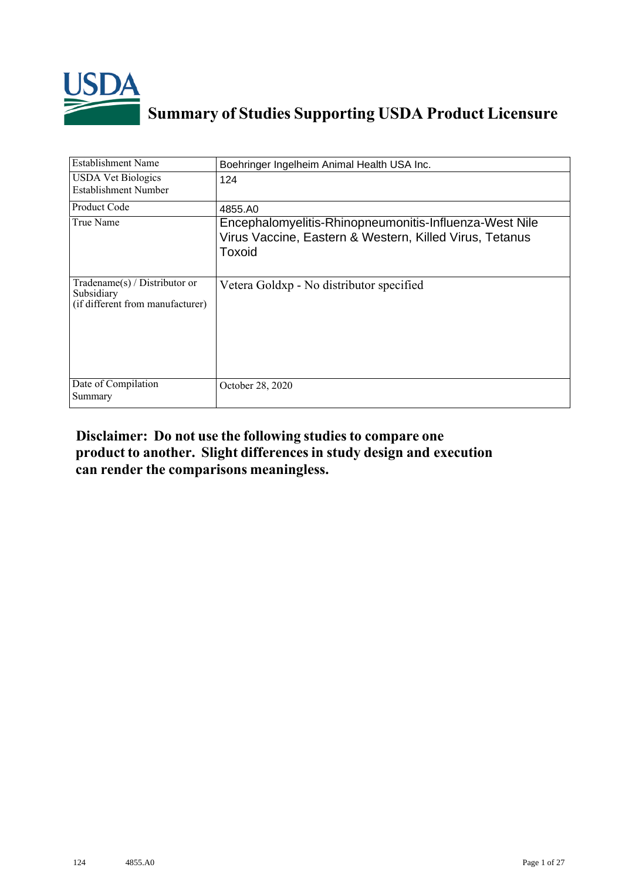

# **Summary of Studies Supporting USDA Product Licensure**

| <b>Establishment Name</b>                                                         | Boehringer Ingelheim Animal Health USA Inc.                                                                                 |
|-----------------------------------------------------------------------------------|-----------------------------------------------------------------------------------------------------------------------------|
| <b>USDA Vet Biologics</b><br>Establishment Number                                 | 124                                                                                                                         |
| Product Code                                                                      | 4855.A0                                                                                                                     |
| True Name                                                                         | Encephalomyelitis-Rhinopneumonitis-Influenza-West Nile<br>Virus Vaccine, Eastern & Western, Killed Virus, Tetanus<br>Toxoid |
| $Tradename(s) / Distributor$ or<br>Subsidiary<br>(if different from manufacturer) | Vetera Goldxp - No distributor specified                                                                                    |
| Date of Compilation<br>Summary                                                    | October 28, 2020                                                                                                            |

## **Disclaimer: Do not use the following studiesto compare one product to another. Slight differencesin study design and execution can render the comparisons meaningless.**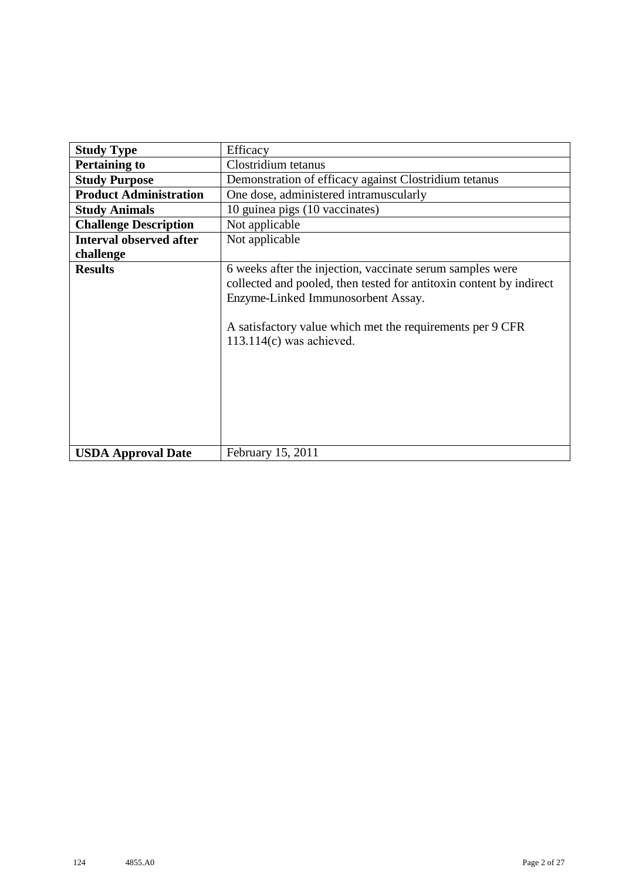| <b>Study Type</b>              | Efficacy                                                                                                                                                                                                                                                          |
|--------------------------------|-------------------------------------------------------------------------------------------------------------------------------------------------------------------------------------------------------------------------------------------------------------------|
| <b>Pertaining to</b>           | Clostridium tetanus                                                                                                                                                                                                                                               |
| <b>Study Purpose</b>           | Demonstration of efficacy against Clostridium tetanus                                                                                                                                                                                                             |
| <b>Product Administration</b>  | One dose, administered intramuscularly                                                                                                                                                                                                                            |
| <b>Study Animals</b>           | 10 guinea pigs (10 vaccinates)                                                                                                                                                                                                                                    |
| <b>Challenge Description</b>   | Not applicable                                                                                                                                                                                                                                                    |
| <b>Interval observed after</b> | Not applicable                                                                                                                                                                                                                                                    |
| challenge                      |                                                                                                                                                                                                                                                                   |
| <b>Results</b>                 | 6 weeks after the injection, vaccinate serum samples were<br>collected and pooled, then tested for antitoxin content by indirect<br>Enzyme-Linked Immunosorbent Assay.<br>A satisfactory value which met the requirements per 9 CFR<br>$113.114(c)$ was achieved. |
| <b>USDA Approval Date</b>      | February 15, 2011                                                                                                                                                                                                                                                 |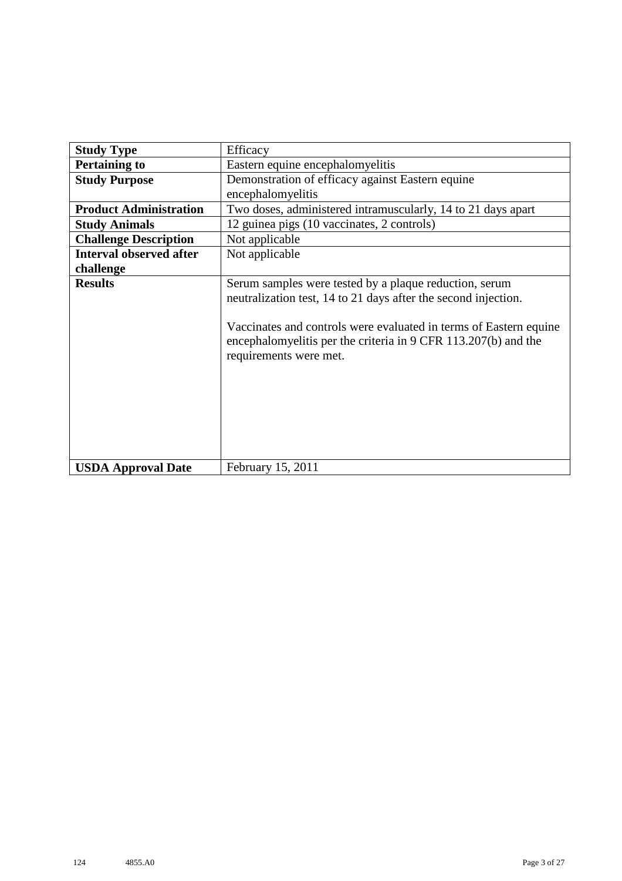| <b>Study Type</b>              | Efficacy                                                                                                                                                                                                                                                                                  |
|--------------------------------|-------------------------------------------------------------------------------------------------------------------------------------------------------------------------------------------------------------------------------------------------------------------------------------------|
| <b>Pertaining to</b>           | Eastern equine encephalomyelitis                                                                                                                                                                                                                                                          |
| <b>Study Purpose</b>           | Demonstration of efficacy against Eastern equine                                                                                                                                                                                                                                          |
|                                | encephalomyelitis                                                                                                                                                                                                                                                                         |
| <b>Product Administration</b>  | Two doses, administered intramuscularly, 14 to 21 days apart                                                                                                                                                                                                                              |
| <b>Study Animals</b>           | 12 guinea pigs (10 vaccinates, 2 controls)                                                                                                                                                                                                                                                |
| <b>Challenge Description</b>   | Not applicable                                                                                                                                                                                                                                                                            |
| <b>Interval observed after</b> | Not applicable                                                                                                                                                                                                                                                                            |
| challenge                      |                                                                                                                                                                                                                                                                                           |
| <b>Results</b>                 | Serum samples were tested by a plaque reduction, serum<br>neutralization test, 14 to 21 days after the second injection.<br>Vaccinates and controls were evaluated in terms of Eastern equine<br>encephalomyelitis per the criteria in 9 CFR 113.207(b) and the<br>requirements were met. |
| <b>USDA Approval Date</b>      | February 15, 2011                                                                                                                                                                                                                                                                         |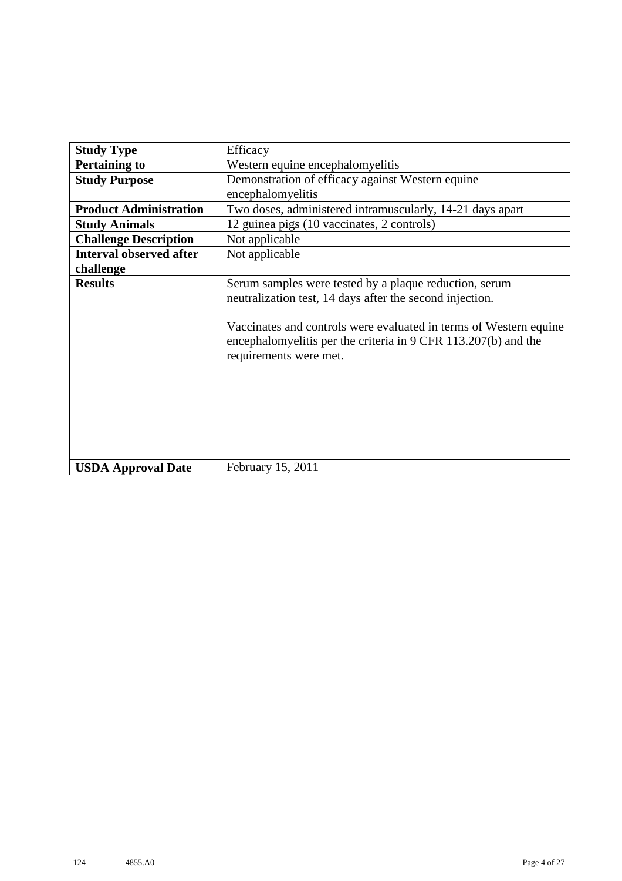| <b>Study Type</b>              | Efficacy                                                                                                                                                                                                                                                                            |
|--------------------------------|-------------------------------------------------------------------------------------------------------------------------------------------------------------------------------------------------------------------------------------------------------------------------------------|
| <b>Pertaining to</b>           | Western equine encephalomyelitis                                                                                                                                                                                                                                                    |
| <b>Study Purpose</b>           | Demonstration of efficacy against Western equine                                                                                                                                                                                                                                    |
|                                | encephalomyelitis                                                                                                                                                                                                                                                                   |
| <b>Product Administration</b>  | Two doses, administered intramuscularly, 14-21 days apart                                                                                                                                                                                                                           |
| <b>Study Animals</b>           | 12 guinea pigs (10 vaccinates, 2 controls)                                                                                                                                                                                                                                          |
| <b>Challenge Description</b>   | Not applicable                                                                                                                                                                                                                                                                      |
| <b>Interval observed after</b> | Not applicable                                                                                                                                                                                                                                                                      |
| challenge                      |                                                                                                                                                                                                                                                                                     |
| <b>Results</b>                 | Serum samples were tested by a plaque reduction, serum<br>neutralization test, 14 days after the second injection.<br>Vaccinates and controls were evaluated in terms of Western equine<br>encephalomyelitis per the criteria in 9 CFR 113.207(b) and the<br>requirements were met. |
| <b>USDA Approval Date</b>      | February 15, 2011                                                                                                                                                                                                                                                                   |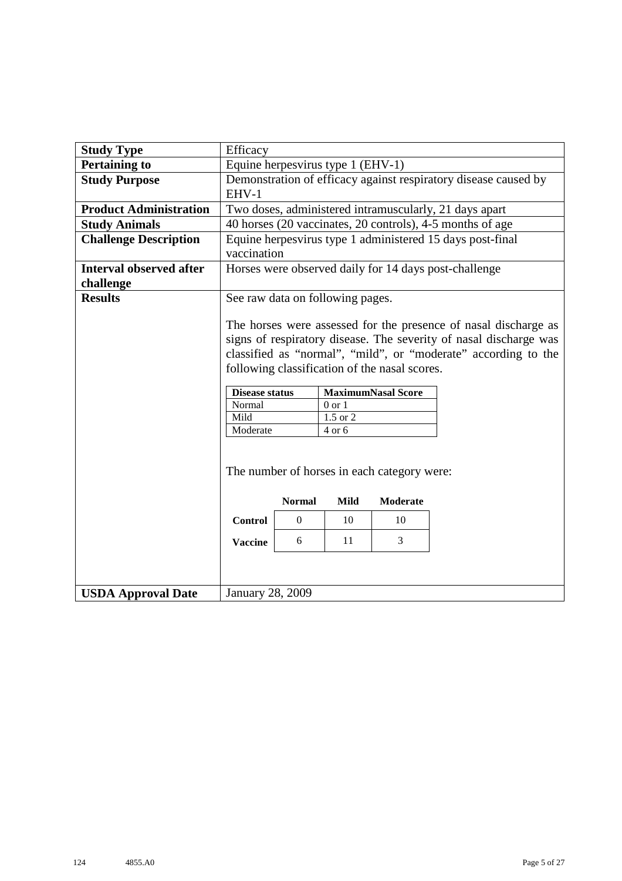| <b>Study Type</b>                           | Efficacy                                                                                                                                                                           |                                                                                                                                                                                                                                                                                                                                                   |  |  |  |  |  |  |  |  |  |  |  |
|---------------------------------------------|------------------------------------------------------------------------------------------------------------------------------------------------------------------------------------|---------------------------------------------------------------------------------------------------------------------------------------------------------------------------------------------------------------------------------------------------------------------------------------------------------------------------------------------------|--|--|--|--|--|--|--|--|--|--|--|
| <b>Pertaining to</b>                        |                                                                                                                                                                                    | Equine herpesvirus type 1 (EHV-1)                                                                                                                                                                                                                                                                                                                 |  |  |  |  |  |  |  |  |  |  |  |
| <b>Study Purpose</b>                        | Demonstration of efficacy against respiratory disease caused by<br>EHV-1                                                                                                           |                                                                                                                                                                                                                                                                                                                                                   |  |  |  |  |  |  |  |  |  |  |  |
| <b>Product Administration</b>               |                                                                                                                                                                                    | Two doses, administered intramuscularly, 21 days apart                                                                                                                                                                                                                                                                                            |  |  |  |  |  |  |  |  |  |  |  |
| <b>Study Animals</b>                        |                                                                                                                                                                                    | 40 horses (20 vaccinates, 20 controls), 4-5 months of age                                                                                                                                                                                                                                                                                         |  |  |  |  |  |  |  |  |  |  |  |
| <b>Challenge Description</b>                |                                                                                                                                                                                    | Equine herpesvirus type 1 administered 15 days post-final<br>vaccination                                                                                                                                                                                                                                                                          |  |  |  |  |  |  |  |  |  |  |  |
| <b>Interval observed after</b><br>challenge |                                                                                                                                                                                    | Horses were observed daily for 14 days post-challenge                                                                                                                                                                                                                                                                                             |  |  |  |  |  |  |  |  |  |  |  |
| <b>Results</b>                              |                                                                                                                                                                                    | See raw data on following pages.                                                                                                                                                                                                                                                                                                                  |  |  |  |  |  |  |  |  |  |  |  |
|                                             | Normal<br>Mild<br>Moderate                                                                                                                                                         | The horses were assessed for the presence of nasal discharge as<br>signs of respiratory disease. The severity of nasal discharge was<br>classified as "normal", "mild", or "moderate" according to the<br>following classification of the nasal scores.<br><b>MaximumNasal Score</b><br><b>Disease status</b><br>$0$ or $1$<br>1.5 or 2<br>4 or 6 |  |  |  |  |  |  |  |  |  |  |  |
|                                             | The number of horses in each category were:<br><b>Normal</b><br><b>Moderate</b><br><b>Mild</b><br><b>Control</b><br>$\boldsymbol{0}$<br>10<br>10<br>11<br>3<br>6<br><b>Vaccine</b> |                                                                                                                                                                                                                                                                                                                                                   |  |  |  |  |  |  |  |  |  |  |  |
| <b>USDA Approval Date</b>                   | <b>January 28, 2009</b>                                                                                                                                                            |                                                                                                                                                                                                                                                                                                                                                   |  |  |  |  |  |  |  |  |  |  |  |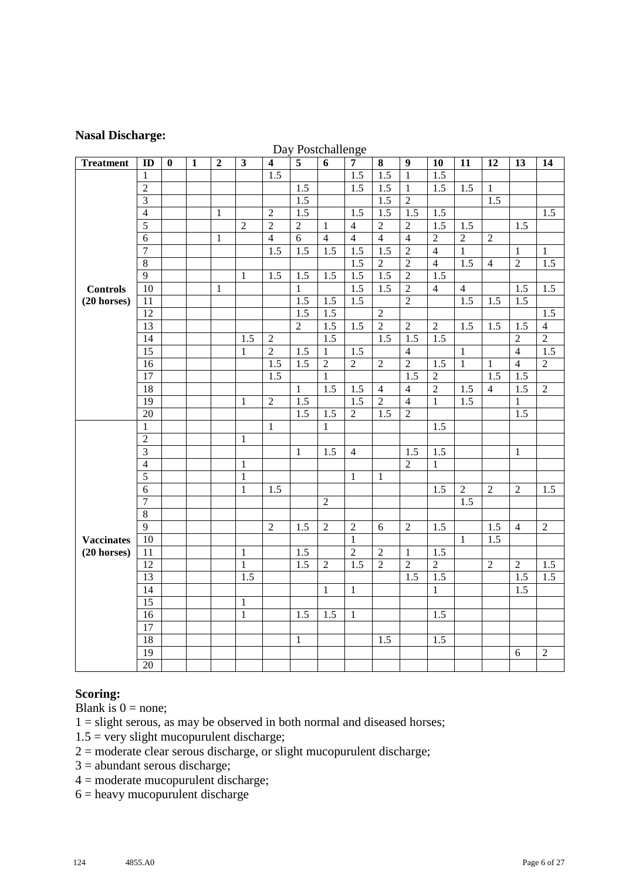#### **Nasal Discharge:**

|                   |                 |          |              |                  |                  |                         |                  | Day Postchallenge |                  |                  |                  |                  |                  |                  |                  |                  |
|-------------------|-----------------|----------|--------------|------------------|------------------|-------------------------|------------------|-------------------|------------------|------------------|------------------|------------------|------------------|------------------|------------------|------------------|
| <b>Treatment</b>  | ID              | $\bf{0}$ | $\mathbf{1}$ | $\boldsymbol{2}$ | $\mathbf{3}$     | $\overline{\mathbf{4}}$ | $\overline{5}$   | $\boldsymbol{6}$  | $\overline{7}$   | 8                | 9                | 10               | 11               | 12               | 13               | 14               |
|                   | $\mathbf{1}$    |          |              |                  |                  | $\overline{1.5}$        |                  |                   | 1.5              | $\overline{1.5}$ | $\mathbf{1}$     | $\overline{1.5}$ |                  |                  |                  |                  |
|                   | $\overline{2}$  |          |              |                  |                  |                         | 1.5              |                   | 1.5              | $\overline{1.5}$ | $\overline{1}$   | 1.5              | $\overline{1.5}$ | 1                |                  |                  |
|                   | $\overline{3}$  |          |              |                  |                  |                         | 1.5              |                   |                  | 1.5              | $\overline{2}$   |                  |                  | 1.5              |                  |                  |
|                   | $\overline{4}$  |          |              | 1                |                  | $\mathfrak{2}$          | 1.5              |                   | 1.5              | 1.5              | 1.5              | 1.5              |                  |                  |                  | 1.5              |
|                   | $\overline{5}$  |          |              |                  | $\sqrt{2}$       | $\overline{2}$          | $\overline{2}$   | $\mathbf{1}$      | $\overline{4}$   | $\overline{2}$   | $\overline{2}$   | $\overline{1.5}$ | 1.5              |                  | $\overline{1.5}$ |                  |
|                   | 6               |          |              | $\mathbf{1}$     |                  | $\overline{4}$          | $\overline{6}$   | $\overline{4}$    | $\overline{4}$   | $\overline{4}$   | $\overline{4}$   | $\overline{2}$   | $\overline{2}$   | $\overline{2}$   |                  |                  |
|                   | $\tau$          |          |              |                  |                  | $\overline{1.5}$        | $\overline{1.5}$ | $\overline{1.5}$  | $\overline{1.5}$ | $\overline{1.5}$ | $\overline{2}$   | $\overline{4}$   | 1                |                  | 1                | $\mathbf{1}$     |
|                   | $\overline{8}$  |          |              |                  |                  |                         |                  |                   | $\overline{1.5}$ | $\overline{2}$   | $\overline{2}$   | $\overline{4}$   | 1.5              | $\overline{4}$   | $\overline{2}$   | $\overline{1.5}$ |
|                   | $\overline{9}$  |          |              |                  | 1                | 1.5                     | $\overline{1.5}$ | 1.5               | $\overline{1.5}$ | 1.5              | $\overline{2}$   | 1.5              |                  |                  |                  |                  |
| <b>Controls</b>   | 10              |          |              | 1                |                  |                         | $\mathbf{1}$     |                   | $\overline{1.5}$ | 1.5              | $\overline{2}$   | $\overline{4}$   | $\overline{4}$   |                  | 1.5              | 1.5              |
| $(20$ horses)     | 11              |          |              |                  |                  |                         | 1.5              | $\overline{1.5}$  | $\overline{1.5}$ |                  | $\overline{2}$   |                  | 1.5              | $\overline{1.5}$ | $\overline{1.5}$ |                  |
|                   | $\overline{12}$ |          |              |                  |                  |                         | $\overline{1.5}$ | $\overline{1.5}$  |                  | $\overline{2}$   |                  |                  |                  |                  |                  | $\overline{1.5}$ |
|                   | 13              |          |              |                  |                  |                         | $\overline{2}$   | $\overline{1.5}$  | $\overline{1.5}$ | $\overline{2}$   | $\overline{2}$   | $\overline{2}$   | $\overline{1.5}$ | 1.5              | $\overline{1.5}$ | $\overline{4}$   |
|                   | $\overline{14}$ |          |              |                  | $\overline{1.5}$ | $\overline{2}$          |                  | $\overline{1.5}$  |                  | 1.5              | $\overline{1.5}$ | 1.5              |                  |                  | $\overline{2}$   | $\overline{2}$   |
|                   | $\overline{15}$ |          |              |                  | $\mathbf{1}$     | $\overline{2}$          | 1.5              | $\mathbf{1}$      | 1.5              |                  | $\overline{4}$   |                  | $\mathbf{1}$     |                  | $\overline{4}$   | 1.5              |
|                   | 16              |          |              |                  |                  | 1.5                     | 1.5              | $\overline{2}$    | $\overline{2}$   | $\overline{2}$   | $\overline{2}$   | 1.5              | $\overline{1}$   | 1                | $\overline{4}$   | $\overline{2}$   |
|                   | $\overline{17}$ |          |              |                  |                  | $\overline{1.5}$        |                  | $\mathbf{1}$      |                  |                  | $\overline{1.5}$ | $\overline{2}$   |                  | 1.5              | 1.5              |                  |
|                   | 18              |          |              |                  |                  |                         | $\mathbf{1}$     | 1.5               | 1.5              | $\overline{4}$   | $\overline{4}$   | $\overline{2}$   | 1.5              | $\overline{4}$   | 1.5              | $\overline{2}$   |
|                   | 19              |          |              |                  | -1               | $\sqrt{2}$              | 1.5              |                   | 1.5              | $\overline{2}$   | $\overline{4}$   | $\mathbf{1}$     | 1.5              |                  | $\mathbf{1}$     |                  |
|                   | $\overline{20}$ |          |              |                  |                  |                         | $\overline{1.5}$ | 1.5               | $\overline{2}$   | 1.5              | $\overline{2}$   |                  |                  |                  | 1.5              |                  |
|                   | $\mathbf{1}$    |          |              |                  |                  | $\mathbf{1}$            |                  | $\mathbf{1}$      |                  |                  |                  | 1.5              |                  |                  |                  |                  |
|                   | $\sqrt{2}$      |          |              |                  | $\mathbf{1}$     |                         |                  |                   |                  |                  |                  |                  |                  |                  |                  |                  |
|                   | $\overline{3}$  |          |              |                  |                  |                         | $\mathbf{1}$     | 1.5               | $\overline{4}$   |                  | 1.5              | 1.5              |                  |                  | $\mathbf{1}$     |                  |
|                   | $\overline{4}$  |          |              |                  | $\mathbf{1}$     |                         |                  |                   |                  |                  | $\mathfrak{2}$   | $\mathbf{1}$     |                  |                  |                  |                  |
|                   | $\overline{5}$  |          |              |                  | $\mathbf{1}$     |                         |                  |                   | $\mathbf{1}$     | $\mathbf{1}$     |                  |                  |                  |                  |                  |                  |
|                   | 6               |          |              |                  | $\mathbf{1}$     | $\overline{1.5}$        |                  |                   |                  |                  |                  | $\overline{1.5}$ | $\overline{2}$   | $\overline{2}$   | $\overline{2}$   | 1.5              |
|                   | $\overline{7}$  |          |              |                  |                  |                         |                  | $\overline{2}$    |                  |                  |                  |                  | 1.5              |                  |                  |                  |
|                   | $\overline{8}$  |          |              |                  |                  |                         |                  |                   |                  |                  |                  |                  |                  |                  |                  |                  |
|                   | $\overline{9}$  |          |              |                  |                  | $\overline{2}$          | 1.5              | $\sqrt{2}$        | $\overline{2}$   | 6                | $\overline{2}$   | 1.5              |                  | 1.5              | $\overline{4}$   | $\sqrt{2}$       |
| <b>Vaccinates</b> | 10              |          |              |                  |                  |                         |                  |                   | $\mathbf{1}$     |                  |                  |                  | 1                | $\overline{1.5}$ |                  |                  |
| $(20$ horses)     | 11              |          |              |                  | 1                |                         | 1.5              |                   | $\overline{2}$   | $\overline{2}$   | $\mathbf{1}$     | 1.5              |                  |                  |                  |                  |
|                   | 12              |          |              |                  | $\mathbf{1}$     |                         | 1.5              | $\overline{2}$    | 1.5              | $\overline{2}$   | $\overline{2}$   | $\overline{2}$   |                  | $\overline{2}$   | $\overline{2}$   | 1.5              |
|                   | 13              |          |              |                  | 1.5              |                         |                  |                   |                  |                  | 1.5              | 1.5              |                  |                  | 1.5              | 1.5              |
|                   | 14              |          |              |                  |                  |                         |                  | $\mathbf{1}$      | $\mathbf{1}$     |                  |                  | $\mathbf{1}$     |                  |                  | 1.5              |                  |
|                   | 15              |          |              |                  | $\mathbf{1}$     |                         |                  |                   |                  |                  |                  |                  |                  |                  |                  |                  |
|                   | 16              |          |              |                  | $\mathbf{1}$     |                         | 1.5              | 1.5               | $\mathbf{1}$     |                  |                  | 1.5              |                  |                  |                  |                  |
|                   | $\overline{17}$ |          |              |                  |                  |                         |                  |                   |                  |                  |                  |                  |                  |                  |                  |                  |
|                   | 18              |          |              |                  |                  |                         | $\mathbf{1}$     |                   |                  | 1.5              |                  | 1.5              |                  |                  |                  |                  |
|                   | 19              |          |              |                  |                  |                         |                  |                   |                  |                  |                  |                  |                  |                  | 6                | $\overline{2}$   |
|                   | $\overline{20}$ |          |              |                  |                  |                         |                  |                   |                  |                  |                  |                  |                  |                  |                  |                  |
|                   |                 |          |              |                  |                  |                         |                  |                   |                  |                  |                  |                  |                  |                  |                  |                  |

### $D_{\text{max}} D_{\text{max}}$

#### **Scoring:**

Blank is  $0 = none;$ 

 $1 =$  slight serous, as may be observed in both normal and diseased horses;

- $1.5$  = very slight mucopurulent discharge;
- $2 =$  moderate clear serous discharge, or slight mucopurulent discharge;
- 3 = abundant serous discharge;
- 4 = moderate mucopurulent discharge;
- = heavy mucopurulent discharge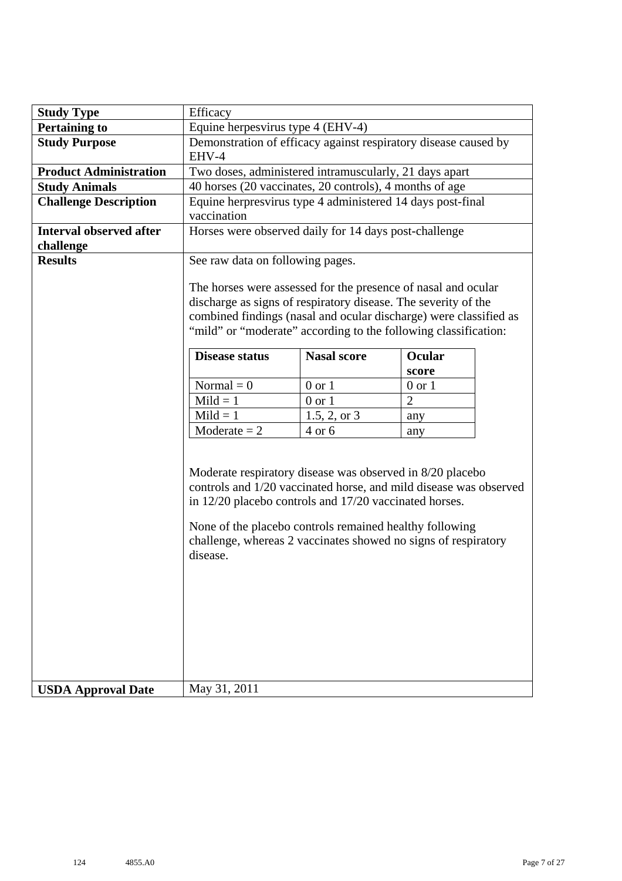| <b>Study Type</b>                           | Efficacy                                                                                                                                                                                                                                                                                                                          |              |                |  |  |  |  |  |  |  |  |  |
|---------------------------------------------|-----------------------------------------------------------------------------------------------------------------------------------------------------------------------------------------------------------------------------------------------------------------------------------------------------------------------------------|--------------|----------------|--|--|--|--|--|--|--|--|--|
| <b>Pertaining to</b>                        | Equine herpesvirus type 4 (EHV-4)                                                                                                                                                                                                                                                                                                 |              |                |  |  |  |  |  |  |  |  |  |
| <b>Study Purpose</b>                        | Demonstration of efficacy against respiratory disease caused by<br>EHV-4                                                                                                                                                                                                                                                          |              |                |  |  |  |  |  |  |  |  |  |
| <b>Product Administration</b>               | Two doses, administered intramuscularly, 21 days apart                                                                                                                                                                                                                                                                            |              |                |  |  |  |  |  |  |  |  |  |
| <b>Study Animals</b>                        | 40 horses (20 vaccinates, 20 controls), 4 months of age                                                                                                                                                                                                                                                                           |              |                |  |  |  |  |  |  |  |  |  |
| <b>Challenge Description</b>                | Equine herpresvirus type 4 administered 14 days post-final<br>vaccination                                                                                                                                                                                                                                                         |              |                |  |  |  |  |  |  |  |  |  |
| <b>Interval observed after</b><br>challenge | Horses were observed daily for 14 days post-challenge                                                                                                                                                                                                                                                                             |              |                |  |  |  |  |  |  |  |  |  |
| <b>Results</b>                              | See raw data on following pages.<br>The horses were assessed for the presence of nasal and ocular<br>discharge as signs of respiratory disease. The severity of the<br>combined findings (nasal and ocular discharge) were classified as<br>"mild" or "moderate" according to the following classification:                       |              |                |  |  |  |  |  |  |  |  |  |
|                                             | <b>Nasal score</b><br><b>Disease status</b><br>Ocular                                                                                                                                                                                                                                                                             |              |                |  |  |  |  |  |  |  |  |  |
|                                             |                                                                                                                                                                                                                                                                                                                                   |              | score          |  |  |  |  |  |  |  |  |  |
|                                             | Normal = $0$                                                                                                                                                                                                                                                                                                                      | $0$ or $1$   | $0$ or $1$     |  |  |  |  |  |  |  |  |  |
|                                             | $Mild = 1$                                                                                                                                                                                                                                                                                                                        | $0$ or $1$   | $\overline{2}$ |  |  |  |  |  |  |  |  |  |
|                                             | $Mild = 1$                                                                                                                                                                                                                                                                                                                        | 1.5, 2, or 3 | any            |  |  |  |  |  |  |  |  |  |
|                                             | Moderate $= 2$                                                                                                                                                                                                                                                                                                                    | 4 or 6       | any            |  |  |  |  |  |  |  |  |  |
|                                             | Moderate respiratory disease was observed in 8/20 placebo<br>controls and 1/20 vaccinated horse, and mild disease was observed<br>in 12/20 placebo controls and 17/20 vaccinated horses.<br>None of the placebo controls remained healthy following<br>challenge, whereas 2 vaccinates showed no signs of respiratory<br>disease. |              |                |  |  |  |  |  |  |  |  |  |
| <b>USDA Approval Date</b>                   | May 31, 2011                                                                                                                                                                                                                                                                                                                      |              |                |  |  |  |  |  |  |  |  |  |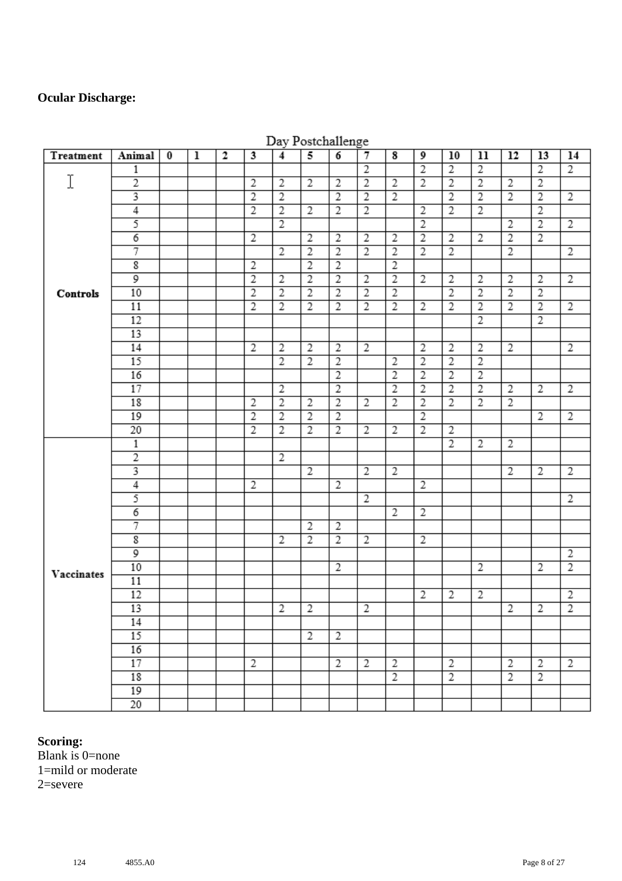## **Ocular Discharge:**

| Treatment  | Animal                  | $\bf{0}$ | $\overline{1}$ | $\overline{2}$ | 3              | $\overline{4}$ | 5              | $\overline{6}$ | $\overline{7}$ | $\overline{\mathbf{8}}$ | 9              | 10             | 11             | 12             | 13             | 14             |
|------------|-------------------------|----------|----------------|----------------|----------------|----------------|----------------|----------------|----------------|-------------------------|----------------|----------------|----------------|----------------|----------------|----------------|
|            | 1                       |          |                |                |                |                |                |                | $\overline{2}$ |                         | $\overline{2}$ | $\overline{2}$ | $\overline{2}$ |                | $\overline{2}$ | $\overline{2}$ |
| I          | $\overline{2}$          |          |                |                | $\overline{2}$ | $\overline{2}$ | $\overline{2}$ | $\overline{2}$ | $\overline{2}$ | $\overline{2}$          | $\overline{2}$ | $\overline{2}$ | $\overline{2}$ | $\overline{2}$ | $\overline{2}$ |                |
|            | 3                       |          |                |                | $\overline{2}$ | $\overline{2}$ |                | $\overline{2}$ | $\overline{2}$ | $\overline{2}$          |                | $\overline{2}$ | $\overline{2}$ | $\overline{2}$ | $\overline{2}$ | $\overline{2}$ |
|            | $\overline{4}$          |          |                |                | $\overline{2}$ | $\overline{2}$ | $\overline{2}$ | $\overline{2}$ | $\overline{2}$ |                         | 2              | $\overline{2}$ | $\overline{2}$ |                | $\overline{2}$ |                |
|            | 5                       |          |                |                |                | $\overline{2}$ |                |                |                |                         | $\overline{2}$ |                |                | $\overline{2}$ | $\overline{2}$ | $\overline{2}$ |
|            | 6                       |          |                |                | $\overline{2}$ |                | $\overline{2}$ | $\overline{2}$ | $\overline{2}$ | $\overline{2}$          | $\overline{2}$ | $\overline{2}$ | $\overline{2}$ | $\overline{2}$ | $\overline{2}$ |                |
|            | 7                       |          |                |                |                | $\overline{2}$ | $\overline{2}$ | $\overline{2}$ | $\overline{2}$ | $\overline{2}$          | $\overline{2}$ | $\overline{2}$ |                | $\overline{2}$ |                | $\overline{2}$ |
|            | $\overline{\mathbf{g}}$ |          |                |                | $\overline{2}$ |                | $\overline{2}$ | $\overline{2}$ |                | $\overline{2}$          |                |                |                |                |                |                |
|            | 9                       |          |                |                | $\overline{2}$ | $\overline{2}$ | $\overline{2}$ | $\overline{2}$ | $\overline{2}$ | $\overline{2}$          | 2              | 2              | 2              | 2              | 2              | $\overline{2}$ |
| Controls   | 10                      |          |                |                | $\overline{2}$ | $\overline{2}$ | $\overline{2}$ | $\overline{2}$ | $\overline{2}$ | $\overline{2}$          |                | $\overline{2}$ | $\overline{2}$ | $\overline{2}$ | $\overline{2}$ |                |
|            | 11                      |          |                |                | $\overline{2}$ | $\overline{2}$ | $\overline{2}$ | $\overline{2}$ | $\overline{2}$ | $\overline{2}$          | $\overline{2}$ | $\overline{2}$ | $\overline{2}$ | $\overline{2}$ | $\overline{2}$ | $\overline{2}$ |
|            | 12                      |          |                |                |                |                |                |                |                |                         |                |                | $\overline{2}$ |                | $\overline{2}$ |                |
|            | 13                      |          |                |                |                |                |                |                |                |                         |                |                |                |                |                |                |
|            | 14                      |          |                |                | $\overline{2}$ | $\overline{2}$ | $\overline{2}$ | $\overline{2}$ | $\overline{2}$ |                         | $\overline{2}$ | $\overline{2}$ | $\overline{2}$ | $\overline{2}$ |                | 2              |
|            | 15                      |          |                |                |                | $\overline{2}$ | $\overline{2}$ | $\overline{2}$ |                | $\overline{2}$          | $\overline{2}$ | $\overline{2}$ | $\overline{2}$ |                |                |                |
|            | 16                      |          |                |                |                |                |                | $\overline{2}$ |                | $\overline{2}$          | $\overline{2}$ | $\overline{2}$ | $\overline{2}$ |                |                |                |
|            | 17                      |          |                |                |                | $\overline{2}$ |                | $\overline{2}$ |                | $\overline{2}$          | $\overline{2}$ | $\overline{2}$ | $\overline{2}$ | $\overline{2}$ | $\overline{2}$ | $\overline{2}$ |
|            | 18                      |          |                |                | $\overline{2}$ | $\overline{2}$ | $\overline{2}$ | $\overline{2}$ | $\overline{2}$ | $\overline{2}$          | $\overline{2}$ | $\overline{2}$ | $\overline{2}$ | $\overline{2}$ |                |                |
|            | 19                      |          |                |                | $\overline{2}$ | $\overline{2}$ | $\overline{2}$ | $\overline{2}$ |                |                         | $\overline{2}$ |                |                |                | $\overline{2}$ | $\overline{2}$ |
|            | 20                      |          |                |                | $\overline{2}$ | $\overline{2}$ | $\overline{2}$ | $\overline{2}$ | $\overline{2}$ | $\overline{2}$          | $\overline{2}$ | 2              |                |                |                |                |
|            | $\mathbbm{1}$           |          |                |                |                |                |                |                |                |                         |                | $\overline{2}$ | $\overline{2}$ | $\overline{2}$ |                |                |
|            | $\overline{2}$          |          |                |                |                | $\overline{2}$ |                |                |                |                         |                |                |                |                |                |                |
|            | 3                       |          |                |                |                |                | $\overline{2}$ |                | $\overline{2}$ | $\overline{c}$          |                |                |                | $\overline{2}$ | $\overline{2}$ | $\overline{2}$ |
|            | $\overline{4}$          |          |                |                | $\overline{2}$ |                |                | $\overline{2}$ |                |                         | 2              |                |                |                |                |                |
|            | 5                       |          |                |                |                |                |                |                | 2              |                         |                |                |                |                |                | 2              |
|            | 6                       |          |                |                |                |                |                |                |                | $\overline{2}$          | $\overline{2}$ |                |                |                |                |                |
|            | 7                       |          |                |                |                |                | $\overline{2}$ | $\overline{2}$ |                |                         |                |                |                |                |                |                |
|            | $\overline{\textbf{g}}$ |          |                |                |                | $\overline{2}$ | $\overline{2}$ | $\overline{2}$ | $\overline{2}$ |                         | 2              |                |                |                |                |                |
|            | 9                       |          |                |                |                |                |                |                |                |                         |                |                |                |                |                | $\overline{2}$ |
| Vaccinates | 10                      |          |                |                |                |                |                | $\overline{2}$ |                |                         |                |                | $\overline{2}$ |                | 2              | $\overline{2}$ |
|            | 11                      |          |                |                |                |                |                |                |                |                         |                |                |                |                |                |                |
|            | 12                      |          |                |                |                |                |                |                |                |                         | $\overline{2}$ | 2              | 2              |                |                | $\overline{2}$ |
|            | 13                      |          |                |                |                | $\overline{2}$ | $\overline{2}$ |                | $\overline{2}$ |                         |                |                |                | $\overline{2}$ | $\overline{2}$ | $\overline{2}$ |
|            | 14                      |          |                |                |                |                |                |                |                |                         |                |                |                |                |                |                |
|            | 15                      |          |                |                |                |                | $\overline{2}$ | $\overline{2}$ |                |                         |                |                |                |                |                |                |
|            | 16                      |          |                |                |                |                |                |                |                |                         |                |                |                |                |                |                |
|            | 17                      |          |                |                | $\overline{2}$ |                |                | $\overline{2}$ | 2              | $\overline{c}$          |                | $\overline{2}$ |                | 2              | 2              | 2              |
|            | 18                      |          |                |                |                |                |                |                |                | $\overline{2}$          |                | $\overline{2}$ |                | $\overline{2}$ | 2              |                |
|            | 19                      |          |                |                |                |                |                |                |                |                         |                |                |                |                |                |                |
|            | 20                      |          |                |                |                |                |                |                |                |                         |                |                |                |                |                |                |

#### Dav Postchallenge

### **Scoring:**

Blank is 0=none 1=mild or moderate 2=severe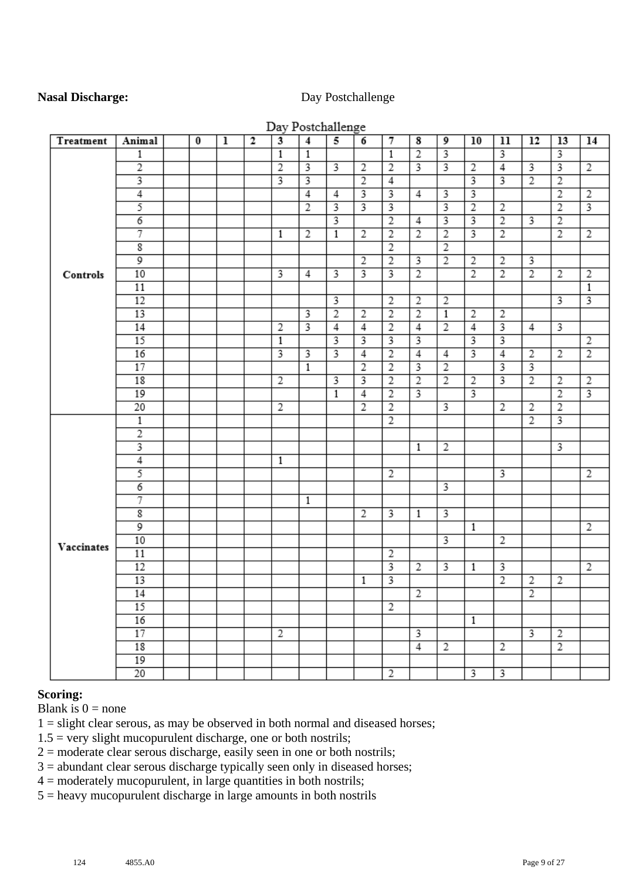#### **Nasal Discharge:** Day Postchallenge

|            |                         |          |   |              |                         | Day Postchallenge |                         |                         |                         |                |                         |                         |                         |                         |                         |                |
|------------|-------------------------|----------|---|--------------|-------------------------|-------------------|-------------------------|-------------------------|-------------------------|----------------|-------------------------|-------------------------|-------------------------|-------------------------|-------------------------|----------------|
| Treatment  | Animal                  | $\bf{0}$ | ı | $\mathbf{2}$ | $\overline{\mathbf{3}}$ | $\overline{4}$    | 5                       | 6                       | 7                       | 8              | 9                       | 10                      | 11                      | 12                      | 13                      | 14             |
|            | 1                       |          |   |              | $\overline{1}$          | $\overline{1}$    |                         |                         | $\overline{1}$          | $\overline{2}$ | 3                       |                         | 3                       |                         | 3                       |                |
|            | $\overline{2}$          |          |   |              | $\overline{2}$          | 3                 | 3                       | $\overline{2}$          | $\overline{2}$          | 3              | 3                       | 2                       | $\overline{4}$          | $\overline{\mathbf{3}}$ | $\overline{\mathbf{3}}$ | $\overline{2}$ |
|            | 3                       |          |   |              |                         | 3                 |                         | $\overline{2}$          | 4                       |                |                         | 3                       | $\overline{3}$          | $\overline{2}$          | $\overline{2}$          |                |
|            | $\overline{4}$          |          |   |              |                         | $\overline{4}$    | $\overline{4}$          |                         |                         | 4              | 3                       | $\overline{\mathbf{3}}$ |                         |                         | $\overline{2}$          | $\overline{2}$ |
|            | 5                       |          |   |              |                         | $\overline{2}$    | $\overline{\mathbf{3}}$ | $\overline{\mathbf{3}}$ | 3                       |                | 3                       | $\overline{2}$          | $\overline{2}$          |                         | $\overline{2}$          | 3              |
|            | $\overline{6}$          |          |   |              |                         |                   |                         |                         | $\overline{2}$          | $\overline{4}$ | 3                       |                         | $\overline{2}$          | $\overline{3}$          | $\overline{2}$          |                |
|            | 7                       |          |   |              | $\mathbf{1}$            | $\overline{2}$    | $\mathbf{1}$            | $\overline{2}$          | $\overline{2}$          | $\overline{2}$ | $\overline{2}$          | $\overline{3}$          | $\overline{2}$          |                         | $\overline{2}$          | $\overline{2}$ |
|            | $\overline{\mathbf{g}}$ |          |   |              |                         |                   |                         |                         | $\overline{2}$          |                | $\overline{2}$          |                         |                         |                         |                         |                |
|            | 9                       |          |   |              |                         |                   |                         | $\overline{2}$          | $\overline{2}$          | 3              | $\overline{2}$          | $\overline{2}$          | 2                       | 3                       |                         |                |
| Controls   | 10                      |          |   |              | 3                       | 4                 | 3                       |                         |                         | $\overline{2}$ |                         | $\overline{2}$          | $\overline{2}$          | $\overline{2}$          | $\overline{2}$          | $\overline{2}$ |
|            | 11                      |          |   |              |                         |                   |                         |                         |                         |                |                         |                         |                         |                         |                         | $\mathbf{1}$   |
|            | 12                      |          |   |              |                         |                   | $\overline{\mathbf{3}}$ |                         | $\overline{2}$          | 2              | $\overline{2}$          |                         |                         |                         | 3                       | 3              |
|            | 13                      |          |   |              |                         | 3                 | $\overline{2}$          | $\overline{2}$          | $\overline{2}$          | $\overline{2}$ | $\overline{1}$          | $\overline{2}$          | $\overline{2}$          |                         |                         |                |
|            | 14                      |          |   |              | $\overline{2}$          | 3                 | $\overline{4}$          | $\overline{4}$          | $\overline{2}$          | $\overline{4}$ | $\overline{2}$          | $\overline{4}$          | $\overline{\mathbf{3}}$ | 4                       | 3                       |                |
|            | 15                      |          |   |              | 1                       |                   | 3                       | 3                       | 3                       | 3              |                         | 3                       | 3                       |                         |                         | $\overline{2}$ |
|            | 16                      |          |   |              | 3                       | 3                 | 3                       | 4                       | $\overline{2}$          | 4              | 4                       | 3                       | 4                       | $\overline{2}$          | $\overline{2}$          | $\overline{2}$ |
|            | 17                      |          |   |              |                         | $\overline{1}$    |                         | $\overline{2}$          | $\overline{2}$          | 3              | $\overline{2}$          |                         | 3                       | 3                       |                         |                |
|            | 18                      |          |   |              | 2                       |                   | 3                       | 3                       | $\overline{2}$          | $\overline{2}$ | $\overline{2}$          | $\overline{2}$          | 3                       | $\overline{2}$          | $\overline{2}$          | $\overline{2}$ |
|            | 19                      |          |   |              |                         |                   | 1                       | $\overline{4}$          | $\overline{2}$          | 3              |                         | 3                       |                         |                         | $\overline{2}$          |                |
|            | 20                      |          |   |              | 2                       |                   |                         | $\overline{2}$          | $\overline{2}$          |                | 3                       |                         | 2                       | $\overline{2}$          | $\overline{2}$          |                |
|            | $\mathbf{1}$            |          |   |              |                         |                   |                         |                         | $\overline{2}$          |                |                         |                         |                         | $\overline{2}$          |                         |                |
|            | $\overline{2}$          |          |   |              |                         |                   |                         |                         |                         |                |                         |                         |                         |                         |                         |                |
|            |                         |          |   |              |                         |                   |                         |                         |                         | 1              | 2                       |                         |                         |                         | 3                       |                |
|            | $\overline{4}$          |          |   |              | 1                       |                   |                         |                         |                         |                |                         |                         |                         |                         |                         |                |
|            | 5                       |          |   |              |                         |                   |                         |                         | 2                       |                |                         |                         | 3                       |                         |                         | 2              |
|            | $\overline{6}$          |          |   |              |                         |                   |                         |                         |                         |                | $\overline{\mathbf{3}}$ |                         |                         |                         |                         |                |
|            | 7                       |          |   |              |                         | 1                 |                         |                         |                         |                |                         |                         |                         |                         |                         |                |
|            | $\overline{\mathbf{g}}$ |          |   |              |                         |                   |                         | $\overline{2}$          | 3                       | 1              |                         |                         |                         |                         |                         |                |
|            | $\overline{9}$          |          |   |              |                         |                   |                         |                         |                         |                |                         | $\mathbf{1}$            |                         |                         |                         | 2              |
| Vaccinates | 10                      |          |   |              |                         |                   |                         |                         |                         |                | $\overline{\mathbf{3}}$ |                         | $\overline{2}$          |                         |                         |                |
|            | 11                      |          |   |              |                         |                   |                         |                         | 2                       |                |                         |                         |                         |                         |                         |                |
|            | 12                      |          |   |              |                         |                   |                         |                         | 3                       | $\overline{2}$ | 3                       | 1                       | 3                       |                         |                         | $\overline{2}$ |
|            | 13                      |          |   |              |                         |                   |                         | $\mathbf{1}$            | $\overline{\mathbf{3}}$ |                |                         |                         | $\overline{2}$          | 2                       | $\overline{2}$          |                |
|            | 14                      |          |   |              |                         |                   |                         |                         |                         | $\overline{2}$ |                         |                         |                         | $\overline{2}$          |                         |                |
|            | 15                      |          |   |              |                         |                   |                         |                         | $\overline{2}$          |                |                         |                         |                         |                         |                         |                |
|            | 16                      |          |   |              |                         |                   |                         |                         |                         |                |                         | $\mathbf{1}$            |                         |                         |                         |                |
|            | 17                      |          |   |              | $\overline{2}$          |                   |                         |                         |                         | 3              |                         |                         |                         | 3                       | $\overline{2}$          |                |
|            | 18                      |          |   |              |                         |                   |                         |                         |                         | $\overline{4}$ | 2                       |                         | 2                       |                         | $\overline{2}$          |                |
|            | 19                      |          |   |              |                         |                   |                         |                         |                         |                |                         |                         |                         |                         |                         |                |
|            | $\overline{20}$         |          |   |              |                         |                   |                         |                         | $\overline{2}$          |                |                         | $\overline{\mathbf{3}}$ | $\overline{\mathbf{3}}$ |                         |                         |                |

#### $\mathbf{r}$  $\sim$  1  $\sim$  11

#### **Scoring:**

Blank is  $0 =$  none

 $1 =$  slight clear serous, as may be observed in both normal and diseased horses;

 $1.5$  = very slight mucopurulent discharge, one or both nostrils;

 $2 =$  moderate clear serous discharge, easily seen in one or both nostrils;

3 = abundant clear serous discharge typically seen only in diseased horses;

 $4 =$  moderately mucopurulent, in large quantities in both nostrils;

5 = heavy mucopurulent discharge in large amounts in both nostrils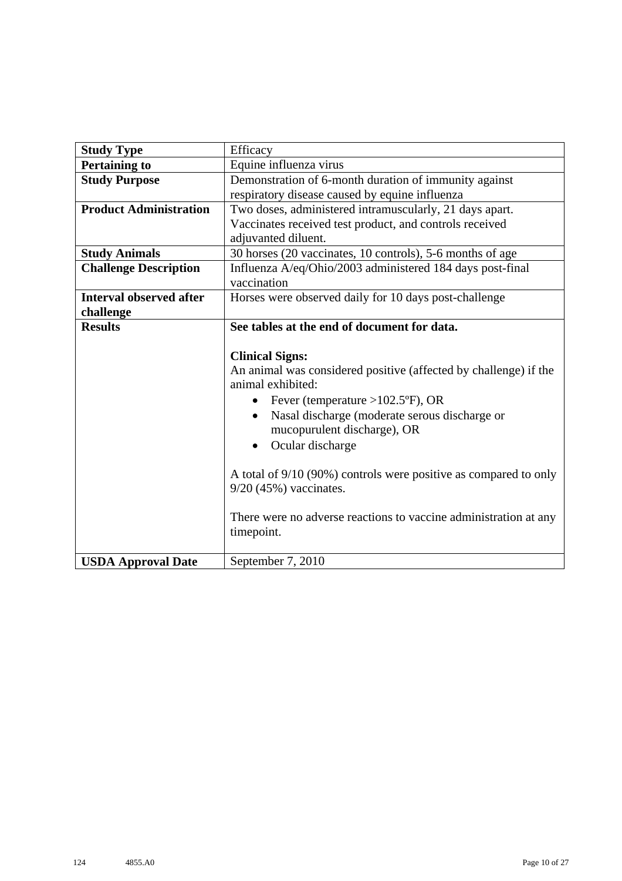| <b>Study Type</b>              | Efficacy                                                         |
|--------------------------------|------------------------------------------------------------------|
| <b>Pertaining to</b>           | Equine influenza virus                                           |
| <b>Study Purpose</b>           | Demonstration of 6-month duration of immunity against            |
|                                | respiratory disease caused by equine influenza                   |
| <b>Product Administration</b>  | Two doses, administered intramuscularly, 21 days apart.          |
|                                | Vaccinates received test product, and controls received          |
|                                | adjuvanted diluent.                                              |
| <b>Study Animals</b>           | 30 horses (20 vaccinates, 10 controls), 5-6 months of age        |
| <b>Challenge Description</b>   | Influenza A/eq/Ohio/2003 administered 184 days post-final        |
|                                | vaccination                                                      |
| <b>Interval observed after</b> | Horses were observed daily for 10 days post-challenge            |
| challenge                      |                                                                  |
| <b>Results</b>                 | See tables at the end of document for data.                      |
|                                |                                                                  |
|                                | <b>Clinical Signs:</b>                                           |
|                                | An animal was considered positive (affected by challenge) if the |
|                                | animal exhibited:                                                |
|                                | Fever (temperature $>102.5$ °F), OR<br>$\bullet$                 |
|                                | Nasal discharge (moderate serous discharge or<br>$\bullet$       |
|                                | mucopurulent discharge), OR                                      |
|                                | Ocular discharge<br>$\bullet$                                    |
|                                |                                                                  |
|                                | A total of 9/10 (90%) controls were positive as compared to only |
|                                | $9/20$ (45%) vaccinates.                                         |
|                                |                                                                  |
|                                | There were no adverse reactions to vaccine administration at any |
|                                | timepoint.                                                       |
|                                |                                                                  |
| <b>USDA Approval Date</b>      | September 7, 2010                                                |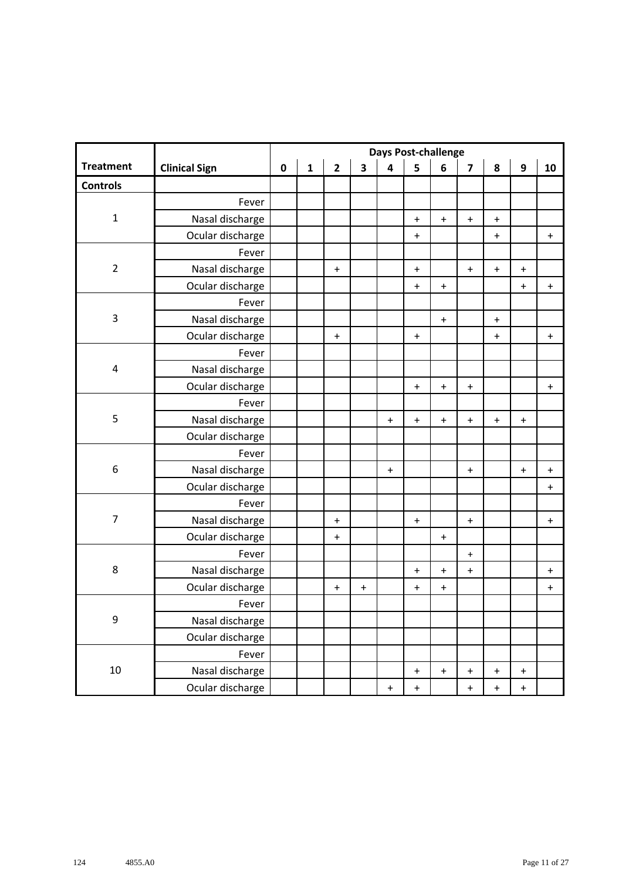|                  |                      | <b>Days Post-challenge</b> |              |                |                         |                                  |                                  |                                  |                                  |                                  |                                  |           |  |
|------------------|----------------------|----------------------------|--------------|----------------|-------------------------|----------------------------------|----------------------------------|----------------------------------|----------------------------------|----------------------------------|----------------------------------|-----------|--|
| <b>Treatment</b> | <b>Clinical Sign</b> | $\pmb{0}$                  | $\mathbf{1}$ | $\overline{2}$ | $\overline{\mathbf{3}}$ | $\overline{\mathbf{4}}$          | 5                                | 6                                | $\overline{\mathbf{z}}$          | 8                                | $\boldsymbol{9}$                 | 10        |  |
| <b>Controls</b>  |                      |                            |              |                |                         |                                  |                                  |                                  |                                  |                                  |                                  |           |  |
|                  | Fever                |                            |              |                |                         |                                  |                                  |                                  |                                  |                                  |                                  |           |  |
| $\mathbf 1$      | Nasal discharge      |                            |              |                |                         |                                  | $\ddot{}$                        | $\begin{array}{c} + \end{array}$ | $\bf{+}$                         | $\bf +$                          |                                  |           |  |
|                  | Ocular discharge     |                            |              |                |                         |                                  | $\ddot{}$                        |                                  |                                  | $\ddot{}$                        |                                  | $\ddot{}$ |  |
|                  | Fever                |                            |              |                |                         |                                  |                                  |                                  |                                  |                                  |                                  |           |  |
| $\overline{2}$   | Nasal discharge      |                            |              | $\ddot{}$      |                         |                                  | $\ddot{}$                        |                                  | $\mathbf +$                      | $\boldsymbol{+}$                 | $\ddot{}$                        |           |  |
|                  | Ocular discharge     |                            |              |                |                         |                                  | $\ddot{}$                        | $\begin{array}{c} + \end{array}$ |                                  |                                  | $\ddot{}$                        | $\ddot{}$ |  |
|                  | Fever                |                            |              |                |                         |                                  |                                  |                                  |                                  |                                  |                                  |           |  |
| 3                | Nasal discharge      |                            |              |                |                         |                                  |                                  | $\boldsymbol{+}$                 |                                  | $\boldsymbol{+}$                 |                                  |           |  |
|                  | Ocular discharge     |                            |              | $\ddot{}$      |                         |                                  | $\ddot{}$                        |                                  |                                  | $\ddot{}$                        |                                  | $\ddot{}$ |  |
|                  | Fever                |                            |              |                |                         |                                  |                                  |                                  |                                  |                                  |                                  |           |  |
| 4                | Nasal discharge      |                            |              |                |                         |                                  |                                  |                                  |                                  |                                  |                                  |           |  |
|                  | Ocular discharge     |                            |              |                |                         |                                  | $\ddot{}$                        | $\ddot{}$                        | $\ddot{}$                        |                                  |                                  | $\ddag$   |  |
|                  | Fever                |                            |              |                |                         |                                  |                                  |                                  |                                  |                                  |                                  |           |  |
| 5                | Nasal discharge      |                            |              |                |                         | $\ddot{}$                        | $\begin{array}{c} + \end{array}$ | $\begin{array}{c} + \end{array}$ | $\mathbf +$                      | $\ddot{}$                        | $\ddot{}$                        |           |  |
|                  | Ocular discharge     |                            |              |                |                         |                                  |                                  |                                  |                                  |                                  |                                  |           |  |
|                  | Fever                |                            |              |                |                         |                                  |                                  |                                  |                                  |                                  |                                  |           |  |
| 6                | Nasal discharge      |                            |              |                |                         | $\ddot{}$                        |                                  |                                  | $\ddot{}$                        |                                  | $\ddot{}$                        | $\ddot{}$ |  |
|                  | Ocular discharge     |                            |              |                |                         |                                  |                                  |                                  |                                  |                                  |                                  | $\ddag$   |  |
|                  | Fever                |                            |              |                |                         |                                  |                                  |                                  |                                  |                                  |                                  |           |  |
| $\overline{7}$   | Nasal discharge      |                            |              | $\ddot{}$      |                         |                                  | $\ddot{}$                        |                                  | $\ddagger$                       |                                  |                                  | $\ddot{}$ |  |
|                  | Ocular discharge     |                            |              | $\ddot{}$      |                         |                                  |                                  | $\ddot{}$                        |                                  |                                  |                                  |           |  |
|                  | Fever                |                            |              |                |                         |                                  |                                  |                                  | $\pm$                            |                                  |                                  |           |  |
| $\,8\,$          | Nasal discharge      |                            |              |                |                         |                                  | $\ddot{}$                        | $\begin{array}{c} + \end{array}$ | $\ddagger$                       |                                  |                                  | $\ddot{}$ |  |
|                  | Ocular discharge     |                            |              | $\pmb{+}$      | $\ddot{}$               |                                  | $\ddot{}$                        | $\begin{array}{c} + \end{array}$ |                                  |                                  |                                  | $\ddag$   |  |
|                  | Fever                |                            |              |                |                         |                                  |                                  |                                  |                                  |                                  |                                  |           |  |
| 9                | Nasal discharge      |                            |              |                |                         |                                  |                                  |                                  |                                  |                                  |                                  |           |  |
|                  | Ocular discharge     |                            |              |                |                         |                                  |                                  |                                  |                                  |                                  |                                  |           |  |
|                  | Fever                |                            |              |                |                         |                                  |                                  |                                  |                                  |                                  |                                  |           |  |
| 10               | Nasal discharge      |                            |              |                |                         |                                  | $\ddot{}$                        | $\begin{array}{c} + \end{array}$ | $\begin{array}{c} + \end{array}$ | $\pmb{+}$                        | $\ddot{}$                        |           |  |
|                  | Ocular discharge     |                            |              |                |                         | $\begin{array}{c} + \end{array}$ | $\ddot{}$                        |                                  | $\begin{array}{c} + \end{array}$ | $\begin{array}{c} + \end{array}$ | $\begin{array}{c} + \end{array}$ |           |  |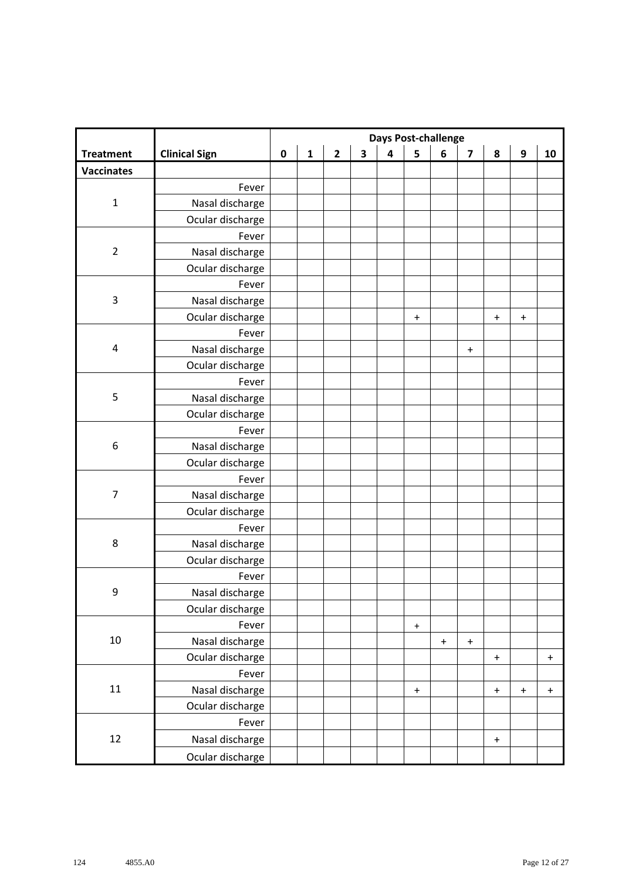|                   |                      | <b>Days Post-challenge</b> |              |              |                         |                         |                  |           |                                  |                                  |                                  |                                  |
|-------------------|----------------------|----------------------------|--------------|--------------|-------------------------|-------------------------|------------------|-----------|----------------------------------|----------------------------------|----------------------------------|----------------------------------|
| <b>Treatment</b>  | <b>Clinical Sign</b> | $\pmb{0}$                  | $\mathbf{1}$ | $\mathbf{2}$ | $\overline{\mathbf{3}}$ | $\overline{\mathbf{4}}$ | 5                | 6         | $\overline{\mathbf{z}}$          | 8                                | 9                                | 10                               |
| <b>Vaccinates</b> |                      |                            |              |              |                         |                         |                  |           |                                  |                                  |                                  |                                  |
|                   | Fever                |                            |              |              |                         |                         |                  |           |                                  |                                  |                                  |                                  |
| $\mathbf 1$       | Nasal discharge      |                            |              |              |                         |                         |                  |           |                                  |                                  |                                  |                                  |
|                   | Ocular discharge     |                            |              |              |                         |                         |                  |           |                                  |                                  |                                  |                                  |
|                   | Fever                |                            |              |              |                         |                         |                  |           |                                  |                                  |                                  |                                  |
| $\overline{2}$    | Nasal discharge      |                            |              |              |                         |                         |                  |           |                                  |                                  |                                  |                                  |
|                   | Ocular discharge     |                            |              |              |                         |                         |                  |           |                                  |                                  |                                  |                                  |
|                   | Fever                |                            |              |              |                         |                         |                  |           |                                  |                                  |                                  |                                  |
| $\mathsf 3$       | Nasal discharge      |                            |              |              |                         |                         |                  |           |                                  |                                  |                                  |                                  |
|                   | Ocular discharge     |                            |              |              |                         |                         | $\ddot{}$        |           |                                  | $\boldsymbol{+}$                 | $\begin{array}{c} + \end{array}$ |                                  |
|                   | Fever                |                            |              |              |                         |                         |                  |           |                                  |                                  |                                  |                                  |
| $\sqrt{4}$        | Nasal discharge      |                            |              |              |                         |                         |                  |           | $\begin{array}{c} + \end{array}$ |                                  |                                  |                                  |
|                   | Ocular discharge     |                            |              |              |                         |                         |                  |           |                                  |                                  |                                  |                                  |
|                   | Fever                |                            |              |              |                         |                         |                  |           |                                  |                                  |                                  |                                  |
| 5                 | Nasal discharge      |                            |              |              |                         |                         |                  |           |                                  |                                  |                                  |                                  |
|                   | Ocular discharge     |                            |              |              |                         |                         |                  |           |                                  |                                  |                                  |                                  |
|                   | Fever                |                            |              |              |                         |                         |                  |           |                                  |                                  |                                  |                                  |
| 6                 | Nasal discharge      |                            |              |              |                         |                         |                  |           |                                  |                                  |                                  |                                  |
|                   | Ocular discharge     |                            |              |              |                         |                         |                  |           |                                  |                                  |                                  |                                  |
|                   | Fever                |                            |              |              |                         |                         |                  |           |                                  |                                  |                                  |                                  |
| $\overline{7}$    | Nasal discharge      |                            |              |              |                         |                         |                  |           |                                  |                                  |                                  |                                  |
|                   | Ocular discharge     |                            |              |              |                         |                         |                  |           |                                  |                                  |                                  |                                  |
|                   | Fever                |                            |              |              |                         |                         |                  |           |                                  |                                  |                                  |                                  |
| 8                 | Nasal discharge      |                            |              |              |                         |                         |                  |           |                                  |                                  |                                  |                                  |
|                   | Ocular discharge     |                            |              |              |                         |                         |                  |           |                                  |                                  |                                  |                                  |
|                   | Fever                |                            |              |              |                         |                         |                  |           |                                  |                                  |                                  |                                  |
| 9                 | Nasal discharge      |                            |              |              |                         |                         |                  |           |                                  |                                  |                                  |                                  |
|                   | Ocular discharge     |                            |              |              |                         |                         |                  |           |                                  |                                  |                                  |                                  |
|                   | Fever                |                            |              |              |                         |                         | $\boldsymbol{+}$ |           |                                  |                                  |                                  |                                  |
| $10\,$            | Nasal discharge      |                            |              |              |                         |                         |                  | $\ddot{}$ | $\ddot{}$                        |                                  |                                  |                                  |
|                   | Ocular discharge     |                            |              |              |                         |                         |                  |           |                                  | $\ddot{}$                        |                                  | $\begin{array}{c} + \end{array}$ |
|                   | Fever                |                            |              |              |                         |                         |                  |           |                                  |                                  |                                  |                                  |
| $11\,$            | Nasal discharge      |                            |              |              |                         |                         | $\ddot{}$        |           |                                  | $\begin{array}{c} + \end{array}$ | $\begin{array}{c} + \end{array}$ | $\ddagger$                       |
|                   | Ocular discharge     |                            |              |              |                         |                         |                  |           |                                  |                                  |                                  |                                  |
|                   | Fever                |                            |              |              |                         |                         |                  |           |                                  |                                  |                                  |                                  |
| 12                | Nasal discharge      |                            |              |              |                         |                         |                  |           |                                  | $\boldsymbol{+}$                 |                                  |                                  |
|                   | Ocular discharge     |                            |              |              |                         |                         |                  |           |                                  |                                  |                                  |                                  |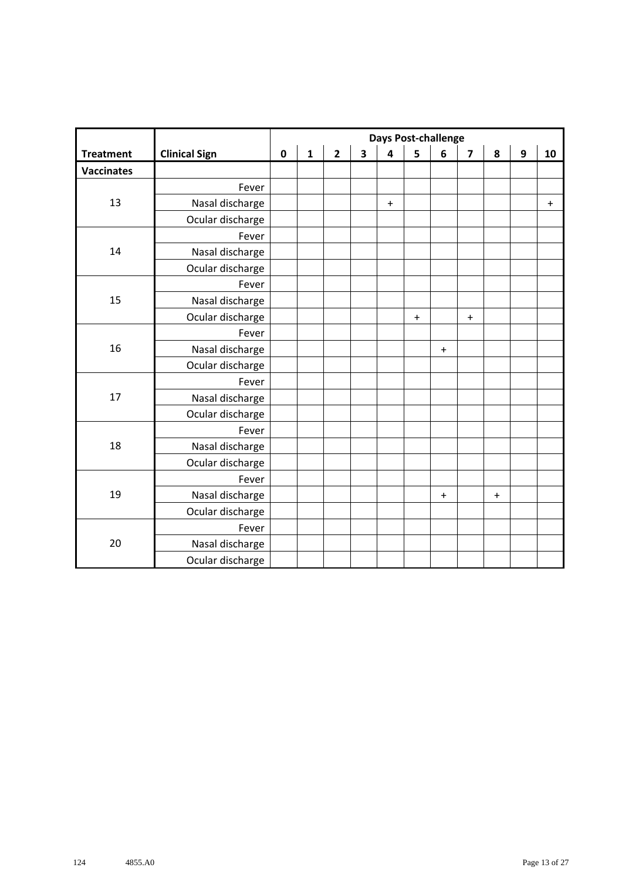|                   |                      |             |              |                         |                         | <b>Days Post-challenge</b> |           |                                  |                                  |                                  |                  |           |
|-------------------|----------------------|-------------|--------------|-------------------------|-------------------------|----------------------------|-----------|----------------------------------|----------------------------------|----------------------------------|------------------|-----------|
| <b>Treatment</b>  | <b>Clinical Sign</b> | $\mathbf 0$ | $\mathbf{1}$ | $\overline{\mathbf{2}}$ | $\overline{\mathbf{3}}$ | $\overline{\mathbf{4}}$    | 5         | 6                                | $\overline{\mathbf{z}}$          | 8                                | $\boldsymbol{9}$ | 10        |
| <b>Vaccinates</b> |                      |             |              |                         |                         |                            |           |                                  |                                  |                                  |                  |           |
|                   | Fever                |             |              |                         |                         |                            |           |                                  |                                  |                                  |                  |           |
| 13                | Nasal discharge      |             |              |                         |                         | $\ddot{}$                  |           |                                  |                                  |                                  |                  | $\ddot{}$ |
|                   | Ocular discharge     |             |              |                         |                         |                            |           |                                  |                                  |                                  |                  |           |
|                   | Fever                |             |              |                         |                         |                            |           |                                  |                                  |                                  |                  |           |
| 14                | Nasal discharge      |             |              |                         |                         |                            |           |                                  |                                  |                                  |                  |           |
|                   | Ocular discharge     |             |              |                         |                         |                            |           |                                  |                                  |                                  |                  |           |
|                   | Fever                |             |              |                         |                         |                            |           |                                  |                                  |                                  |                  |           |
| 15                | Nasal discharge      |             |              |                         |                         |                            |           |                                  |                                  |                                  |                  |           |
|                   | Ocular discharge     |             |              |                         |                         |                            | $\ddot{}$ |                                  | $\begin{array}{c} + \end{array}$ |                                  |                  |           |
|                   | Fever                |             |              |                         |                         |                            |           |                                  |                                  |                                  |                  |           |
| 16                | Nasal discharge      |             |              |                         |                         |                            |           | $\ddot{}$                        |                                  |                                  |                  |           |
|                   | Ocular discharge     |             |              |                         |                         |                            |           |                                  |                                  |                                  |                  |           |
|                   | Fever                |             |              |                         |                         |                            |           |                                  |                                  |                                  |                  |           |
| 17                | Nasal discharge      |             |              |                         |                         |                            |           |                                  |                                  |                                  |                  |           |
|                   | Ocular discharge     |             |              |                         |                         |                            |           |                                  |                                  |                                  |                  |           |
|                   | Fever                |             |              |                         |                         |                            |           |                                  |                                  |                                  |                  |           |
| 18                | Nasal discharge      |             |              |                         |                         |                            |           |                                  |                                  |                                  |                  |           |
|                   | Ocular discharge     |             |              |                         |                         |                            |           |                                  |                                  |                                  |                  |           |
|                   | Fever                |             |              |                         |                         |                            |           |                                  |                                  |                                  |                  |           |
| 19                | Nasal discharge      |             |              |                         |                         |                            |           | $\begin{array}{c} + \end{array}$ |                                  | $\begin{array}{c} + \end{array}$ |                  |           |
|                   | Ocular discharge     |             |              |                         |                         |                            |           |                                  |                                  |                                  |                  |           |
|                   | Fever                |             |              |                         |                         |                            |           |                                  |                                  |                                  |                  |           |
| 20                | Nasal discharge      |             |              |                         |                         |                            |           |                                  |                                  |                                  |                  |           |
|                   | Ocular discharge     |             |              |                         |                         |                            |           |                                  |                                  |                                  |                  |           |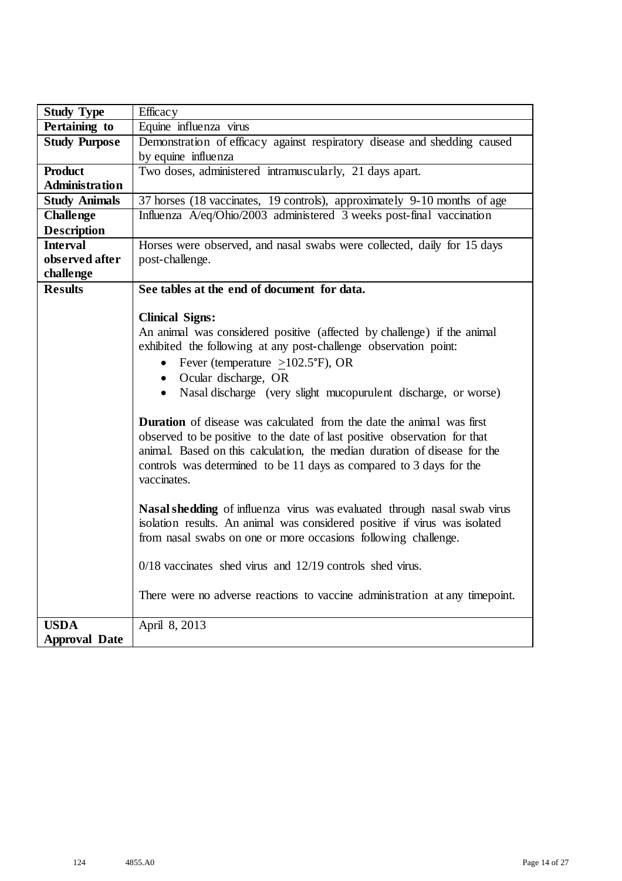| <b>Study Type</b>     | Efficacy                                                                                                                                                                                                                                                                                                                     |
|-----------------------|------------------------------------------------------------------------------------------------------------------------------------------------------------------------------------------------------------------------------------------------------------------------------------------------------------------------------|
| Pertaining to         | Equine influenza virus                                                                                                                                                                                                                                                                                                       |
| <b>Study Purpose</b>  | Demonstration of efficacy against respiratory disease and shedding caused                                                                                                                                                                                                                                                    |
|                       | by equine influenza                                                                                                                                                                                                                                                                                                          |
| <b>Product</b>        | Two doses, administered intramuscularly, 21 days apart.                                                                                                                                                                                                                                                                      |
| <b>Administration</b> |                                                                                                                                                                                                                                                                                                                              |
| <b>Study Animals</b>  | 37 horses (18 vaccinates, 19 controls), approximately 9-10 months of age                                                                                                                                                                                                                                                     |
| <b>Challenge</b>      | Influenza A/eq/Ohio/2003 administered 3 weeks post-final vaccination                                                                                                                                                                                                                                                         |
| <b>Description</b>    |                                                                                                                                                                                                                                                                                                                              |
| <b>Interval</b>       | Horses were observed, and nasal swabs were collected, daily for 15 days                                                                                                                                                                                                                                                      |
| observed after        | post-challenge.                                                                                                                                                                                                                                                                                                              |
| challenge             |                                                                                                                                                                                                                                                                                                                              |
| <b>Results</b>        | See tables at the end of document for data.                                                                                                                                                                                                                                                                                  |
|                       |                                                                                                                                                                                                                                                                                                                              |
|                       | <b>Clinical Signs:</b>                                                                                                                                                                                                                                                                                                       |
|                       | An animal was considered positive (affected by challenge) if the animal                                                                                                                                                                                                                                                      |
|                       | exhibited the following at any post-challenge observation point:                                                                                                                                                                                                                                                             |
|                       | • Fever (temperature $\geq$ 102.5°F), OR                                                                                                                                                                                                                                                                                     |
|                       | • Ocular discharge, OR                                                                                                                                                                                                                                                                                                       |
|                       | • Nasal discharge (very slight mucopurulent discharge, or worse)                                                                                                                                                                                                                                                             |
|                       | <b>Duration</b> of disease was calculated from the date the animal was first<br>observed to be positive to the date of last positive observation for that<br>animal. Based on this calculation, the median duration of disease for the<br>controls was determined to be 11 days as compared to 3 days for the<br>vaccinates. |
|                       |                                                                                                                                                                                                                                                                                                                              |
|                       | Nasal shedding of influenza virus was evaluated through nasal swab virus<br>isolation results. An animal was considered positive if virus was isolated<br>from nasal swabs on one or more occasions following challenge.                                                                                                     |
|                       | $0/18$ vaccinates shed virus and $12/19$ controls shed virus.                                                                                                                                                                                                                                                                |
|                       | There were no adverse reactions to vaccine administration at any timepoint.                                                                                                                                                                                                                                                  |
| <b>USDA</b>           | April 8, 2013                                                                                                                                                                                                                                                                                                                |
| <b>Approval Date</b>  |                                                                                                                                                                                                                                                                                                                              |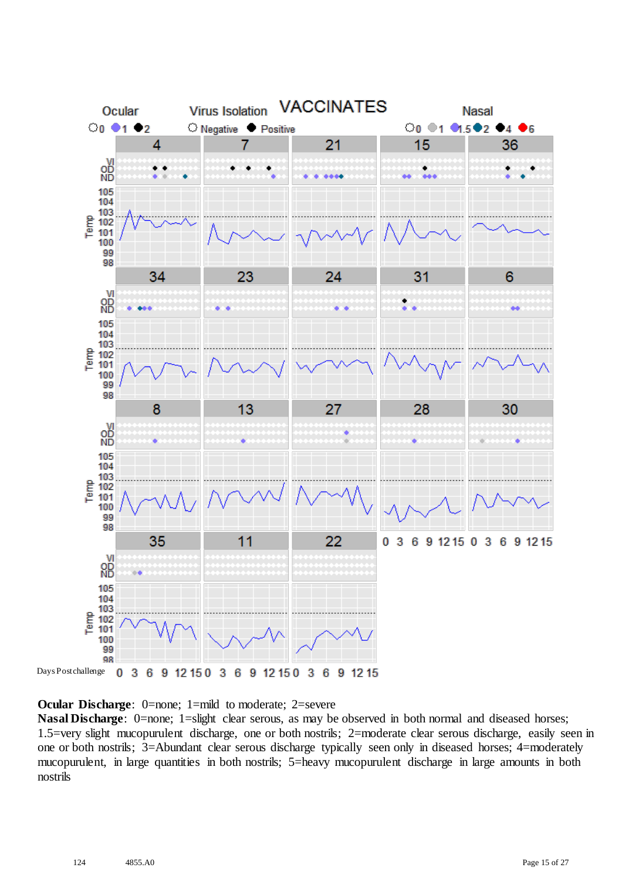

**Ocular Discharge:** 0=none; 1=mild to moderate; 2=severe

**Nasal Discharge**: 0=none; 1=slight clear serous, as may be observed in both normal and diseased horses; 1.5=very slight mucopurulent discharge, one or both nostrils; 2=moderate clear serous discharge, easily seen in one or both nostrils; 3=Abundant clear serous discharge typically seen only in diseased horses; 4=moderately mucopurulent, in large quantities in both nostrils; 5=heavy mucopurulent discharge in large amounts in both nostrils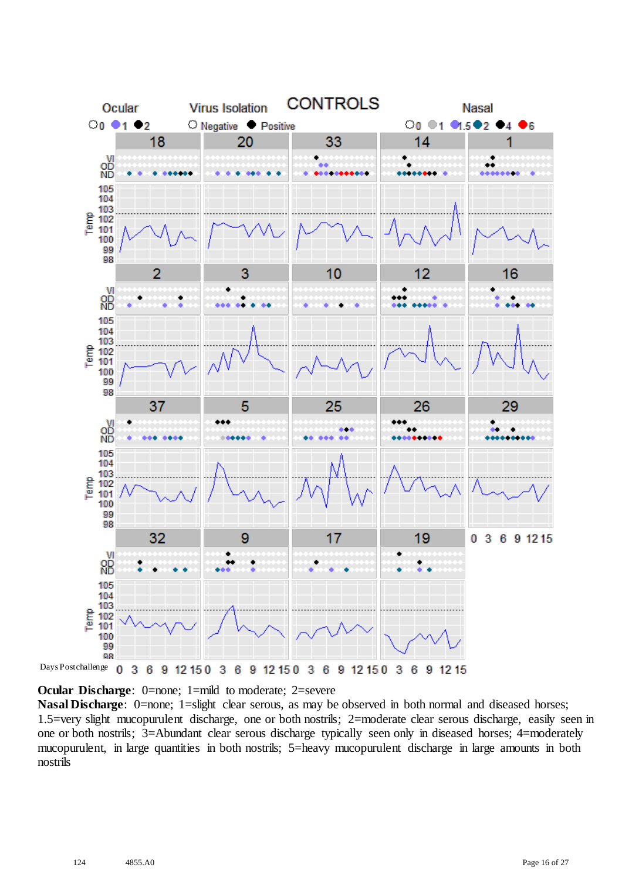

**Ocular Discharge:** 0=none; 1=mild to moderate; 2=severe

**Nasal Discharge**: 0=none; 1=slight clear serous, as may be observed in both normal and diseased horses; 1.5=very slight mucopurulent discharge, one or both nostrils; 2=moderate clear serous discharge, easily seen in one or both nostrils; 3=Abundant clear serous discharge typically seen only in diseased horses; 4=moderately mucopurulent, in large quantities in both nostrils; 5=heavy mucopurulent discharge in large amounts in both nostrils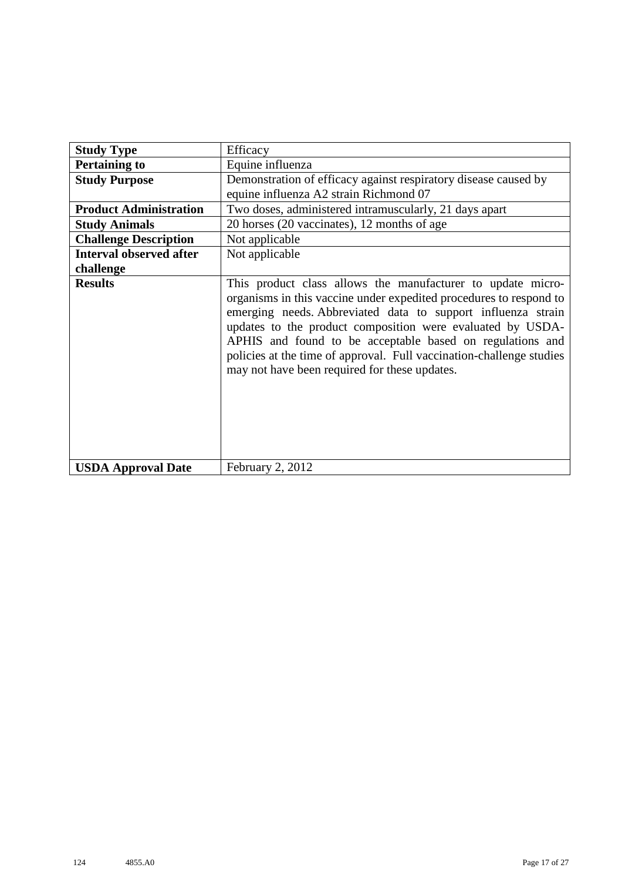| <b>Study Type</b>              | Efficacy                                                                                                                                                                                                                                                                                                                                                                                                                                              |
|--------------------------------|-------------------------------------------------------------------------------------------------------------------------------------------------------------------------------------------------------------------------------------------------------------------------------------------------------------------------------------------------------------------------------------------------------------------------------------------------------|
| <b>Pertaining to</b>           | Equine influenza                                                                                                                                                                                                                                                                                                                                                                                                                                      |
| <b>Study Purpose</b>           | Demonstration of efficacy against respiratory disease caused by                                                                                                                                                                                                                                                                                                                                                                                       |
|                                | equine influenza A2 strain Richmond 07                                                                                                                                                                                                                                                                                                                                                                                                                |
| <b>Product Administration</b>  | Two doses, administered intramuscularly, 21 days apart                                                                                                                                                                                                                                                                                                                                                                                                |
| <b>Study Animals</b>           | 20 horses (20 vaccinates), 12 months of age                                                                                                                                                                                                                                                                                                                                                                                                           |
| <b>Challenge Description</b>   | Not applicable                                                                                                                                                                                                                                                                                                                                                                                                                                        |
| <b>Interval observed after</b> | Not applicable                                                                                                                                                                                                                                                                                                                                                                                                                                        |
| challenge                      |                                                                                                                                                                                                                                                                                                                                                                                                                                                       |
| <b>Results</b>                 | This product class allows the manufacturer to update micro-<br>organisms in this vaccine under expedited procedures to respond to<br>emerging needs. Abbreviated data to support influenza strain<br>updates to the product composition were evaluated by USDA-<br>APHIS and found to be acceptable based on regulations and<br>policies at the time of approval. Full vaccination-challenge studies<br>may not have been required for these updates. |
| <b>USDA Approval Date</b>      | February 2, 2012                                                                                                                                                                                                                                                                                                                                                                                                                                      |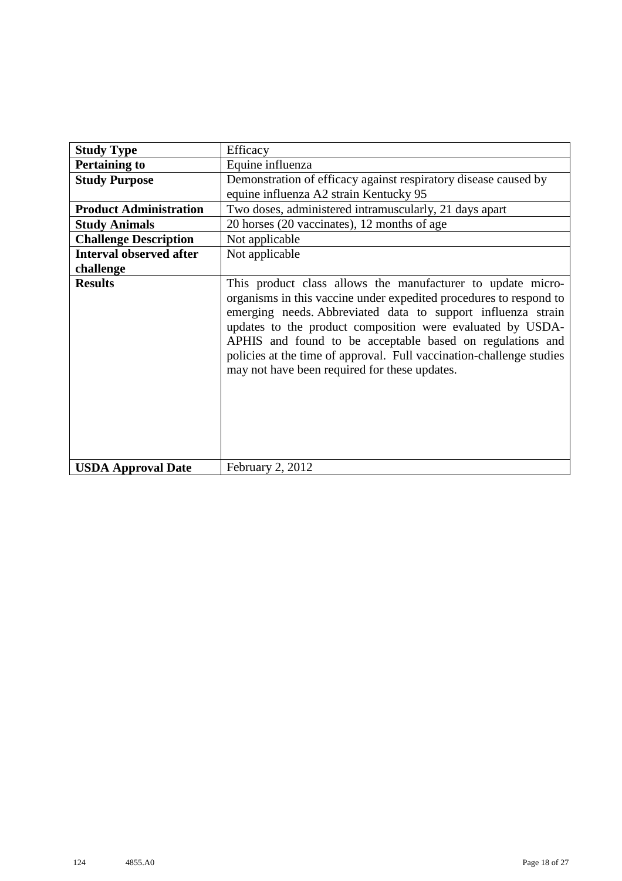| <b>Study Type</b>              | Efficacy                                                                                                                                                                                                                                                                                                                                                                                                                                              |
|--------------------------------|-------------------------------------------------------------------------------------------------------------------------------------------------------------------------------------------------------------------------------------------------------------------------------------------------------------------------------------------------------------------------------------------------------------------------------------------------------|
| <b>Pertaining to</b>           | Equine influenza                                                                                                                                                                                                                                                                                                                                                                                                                                      |
| <b>Study Purpose</b>           | Demonstration of efficacy against respiratory disease caused by<br>equine influenza A2 strain Kentucky 95                                                                                                                                                                                                                                                                                                                                             |
| <b>Product Administration</b>  | Two doses, administered intramuscularly, 21 days apart                                                                                                                                                                                                                                                                                                                                                                                                |
| <b>Study Animals</b>           | 20 horses (20 vaccinates), 12 months of age                                                                                                                                                                                                                                                                                                                                                                                                           |
| <b>Challenge Description</b>   | Not applicable                                                                                                                                                                                                                                                                                                                                                                                                                                        |
| <b>Interval observed after</b> | Not applicable                                                                                                                                                                                                                                                                                                                                                                                                                                        |
| challenge                      |                                                                                                                                                                                                                                                                                                                                                                                                                                                       |
| <b>Results</b>                 | This product class allows the manufacturer to update micro-<br>organisms in this vaccine under expedited procedures to respond to<br>emerging needs. Abbreviated data to support influenza strain<br>updates to the product composition were evaluated by USDA-<br>APHIS and found to be acceptable based on regulations and<br>policies at the time of approval. Full vaccination-challenge studies<br>may not have been required for these updates. |
| <b>USDA Approval Date</b>      | February 2, 2012                                                                                                                                                                                                                                                                                                                                                                                                                                      |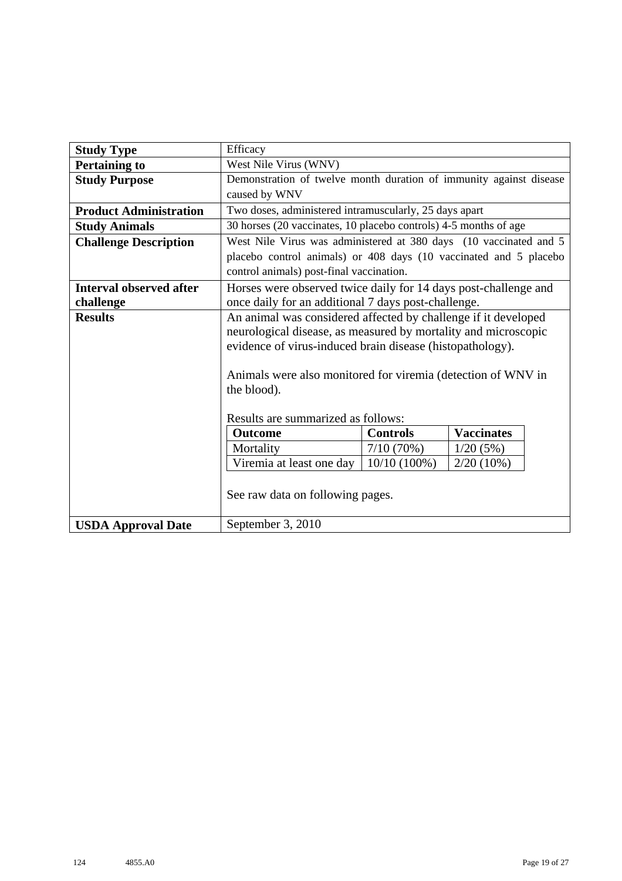| <b>Study Type</b>              | Efficacy                                                           |                 |                   |  |  |  |
|--------------------------------|--------------------------------------------------------------------|-----------------|-------------------|--|--|--|
| <b>Pertaining to</b>           | West Nile Virus (WNV)                                              |                 |                   |  |  |  |
| <b>Study Purpose</b>           | Demonstration of twelve month duration of immunity against disease |                 |                   |  |  |  |
|                                | caused by WNV                                                      |                 |                   |  |  |  |
| <b>Product Administration</b>  | Two doses, administered intramuscularly, 25 days apart             |                 |                   |  |  |  |
| <b>Study Animals</b>           | 30 horses (20 vaccinates, 10 placebo controls) 4-5 months of age   |                 |                   |  |  |  |
| <b>Challenge Description</b>   | West Nile Virus was administered at 380 days (10 vaccinated and 5  |                 |                   |  |  |  |
|                                | placebo control animals) or 408 days (10 vaccinated and 5 placebo  |                 |                   |  |  |  |
|                                | control animals) post-final vaccination.                           |                 |                   |  |  |  |
| <b>Interval observed after</b> | Horses were observed twice daily for 14 days post-challenge and    |                 |                   |  |  |  |
| challenge                      | once daily for an additional 7 days post-challenge.                |                 |                   |  |  |  |
| <b>Results</b>                 | An animal was considered affected by challenge if it developed     |                 |                   |  |  |  |
|                                | neurological disease, as measured by mortality and microscopic     |                 |                   |  |  |  |
|                                | evidence of virus-induced brain disease (histopathology).          |                 |                   |  |  |  |
|                                |                                                                    |                 |                   |  |  |  |
|                                | Animals were also monitored for viremia (detection of WNV in       |                 |                   |  |  |  |
|                                | the blood).                                                        |                 |                   |  |  |  |
|                                |                                                                    |                 |                   |  |  |  |
|                                | Results are summarized as follows:                                 |                 |                   |  |  |  |
|                                | <b>Outcome</b>                                                     | <b>Controls</b> | <b>Vaccinates</b> |  |  |  |
|                                | Mortality                                                          | $7/10(70\%)$    | 1/20(5%)          |  |  |  |
|                                | Viremia at least one day                                           | $10/10(100\%)$  | $2/20(10\%)$      |  |  |  |
|                                |                                                                    |                 |                   |  |  |  |
|                                | See raw data on following pages.                                   |                 |                   |  |  |  |
|                                |                                                                    |                 |                   |  |  |  |
| <b>USDA Approval Date</b>      | September 3, 2010                                                  |                 |                   |  |  |  |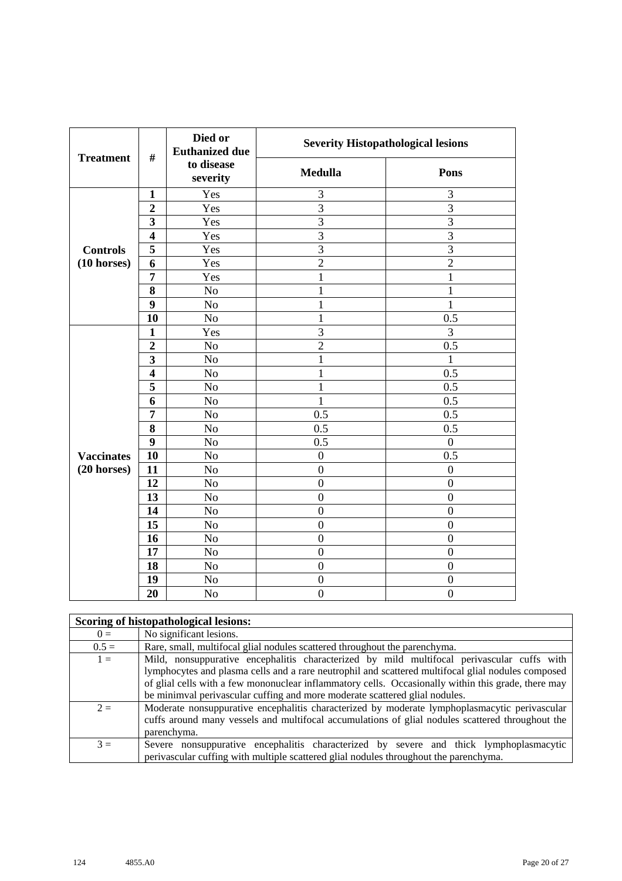| <b>Treatment</b>      | $\#$                    | Died or<br><b>Euthanized due</b> | <b>Severity Histopathological lesions</b> |                  |
|-----------------------|-------------------------|----------------------------------|-------------------------------------------|------------------|
|                       |                         | to disease<br>severity           | <b>Medulla</b>                            | Pons             |
|                       | $\mathbf{1}$            | Yes                              | 3                                         | 3                |
|                       | $\overline{2}$          | Yes                              | $\overline{3}$                            | 3                |
|                       | 3                       | Yes                              | $\overline{3}$                            | $\overline{3}$   |
|                       | $\overline{\mathbf{4}}$ | Yes                              | $\overline{3}$                            | 3                |
| <b>Controls</b>       | 5                       | Yes                              | 3                                         | $\overline{3}$   |
| $(10 \text{ horses})$ | 6                       | Yes                              | $\overline{2}$                            | $\overline{2}$   |
|                       | $\overline{7}$          | Yes                              | $\mathbf{1}$                              | $\mathbf{1}$     |
|                       | 8                       | No                               | $\mathbf{1}$                              | $\mathbf 1$      |
|                       | 9                       | No                               | $\mathbf{1}$                              | $\mathbf{1}$     |
|                       | 10                      | No                               | $\mathbf{1}$                              | 0.5              |
|                       | $\mathbf{1}$            | Yes                              | $\overline{3}$                            | 3                |
|                       | $\overline{2}$          | No                               | $\overline{2}$                            | 0.5              |
|                       | 3                       | No                               | $\mathbf{1}$                              | 1                |
|                       | $\overline{\mathbf{4}}$ | No                               | $\mathbf{1}$                              | 0.5              |
|                       | 5                       | No                               | $\mathbf{1}$                              | 0.5              |
|                       | 6                       | N <sub>o</sub>                   | $\mathbf{1}$                              | 0.5              |
|                       | 7                       | No                               | 0.5                                       | 0.5              |
|                       | 8                       | No                               | 0.5                                       | 0.5              |
|                       | 9                       | N <sub>o</sub>                   | 0.5                                       | $\boldsymbol{0}$ |
| <b>Vaccinates</b>     | 10                      | No                               | $\boldsymbol{0}$                          | $\overline{0.5}$ |
| $(20$ horses)         | 11                      | N <sub>o</sub>                   | $\overline{0}$                            | $\boldsymbol{0}$ |
|                       | 12                      | N <sub>o</sub>                   | $\boldsymbol{0}$                          | $\boldsymbol{0}$ |
|                       | 13                      | No                               | $\overline{0}$                            | $\boldsymbol{0}$ |
|                       | 14                      | N <sub>o</sub>                   | $\overline{0}$                            | $\overline{0}$   |
|                       | 15                      | No                               | $\overline{0}$                            | $\overline{0}$   |
|                       | 16                      | No                               | $\boldsymbol{0}$                          | $\boldsymbol{0}$ |
|                       | 17                      | No                               | $\overline{0}$                            | $\overline{0}$   |
|                       | 18                      | No                               | $\boldsymbol{0}$                          | $\boldsymbol{0}$ |
|                       | 19                      | No                               | $\boldsymbol{0}$                          | $\boldsymbol{0}$ |
|                       | 20                      | N <sub>o</sub>                   | $\overline{0}$                            | $\overline{0}$   |

|         | Scoring of histopathological lesions:                                                                                                                                                                                                                                                                                                                                                  |
|---------|----------------------------------------------------------------------------------------------------------------------------------------------------------------------------------------------------------------------------------------------------------------------------------------------------------------------------------------------------------------------------------------|
| $0 =$   | No significant lesions.                                                                                                                                                                                                                                                                                                                                                                |
| $0.5 =$ | Rare, small, multifocal glial nodules scattered throughout the parenchyma.                                                                                                                                                                                                                                                                                                             |
| $1 =$   | Mild, nonsuppurative encephalitis characterized by mild multifocal perivascular cuffs with<br>lymphocytes and plasma cells and a rare neutrophil and scattered multifocal glial nodules composed<br>of glial cells with a few mononuclear inflammatory cells. Occasionally within this grade, there may<br>be minimval perivascular cuffing and more moderate scattered glial nodules. |
| $2 =$   | Moderate nonsuppurative encephalitis characterized by moderate lymphoplasmacytic perivascular<br>cuffs around many vessels and multifocal accumulations of glial nodules scattered throughout the<br>parenchyma.                                                                                                                                                                       |
| $3 =$   | Severe nonsuppurative encephalitis characterized by severe and thick lymphoplasmacytic<br>perivalent parameters with multiple scattered glial nodules throughout the parenchyma.                                                                                                                                                                                                       |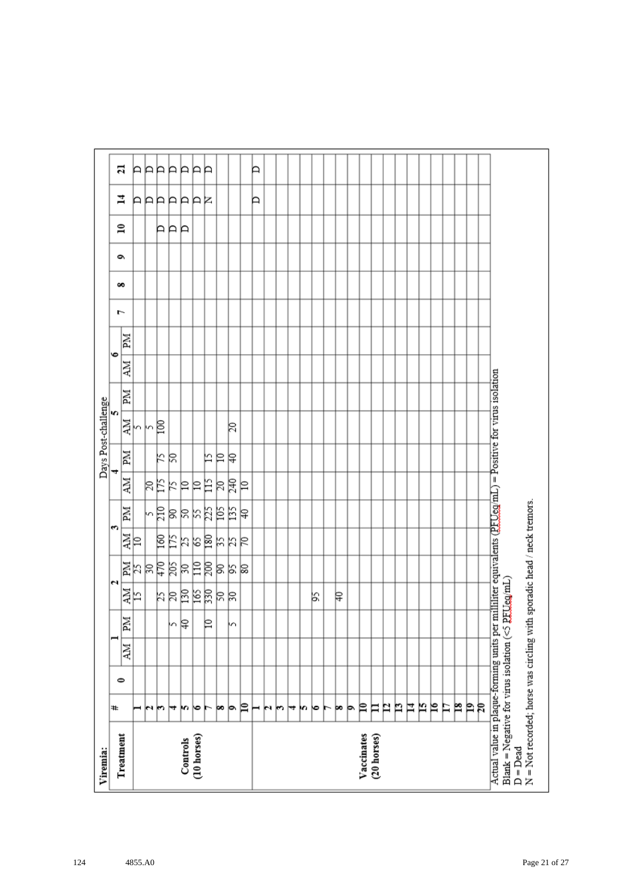| Viremia:                                                                                                                                                                           |    |           |    |    |         |            |      |       |    |    | Days Post-challenge |    |    |           |   |   |   |              |         |    |
|------------------------------------------------------------------------------------------------------------------------------------------------------------------------------------|----|-----------|----|----|---------|------------|------|-------|----|----|---------------------|----|----|-----------|---|---|---|--------------|---------|----|
| Treatment                                                                                                                                                                          | ₩  | $\bullet$ |    |    |         | N          |      | S     |    |    | m                   |    |    | $\bullet$ | ŀ | ő | é | $\mathbf{r}$ | 4       | 21 |
|                                                                                                                                                                                    |    |           | NИ | Md | 하       |            | 화    | Md    | ÄМ | MI | 하                   | ZМ | NИ | Иď        |   |   |   |              |         |    |
|                                                                                                                                                                                    | ⊣  |           |    |    |         |            |      |       |    |    |                     |    |    |           |   |   |   |              |         | A  |
|                                                                                                                                                                                    | юı |           |    |    |         |            |      |       | βĘ |    | kβ                  |    |    |           |   |   |   |              |         | ÞÞ |
|                                                                                                                                                                                    | m  |           |    |    |         |            |      |       |    | k  |                     |    |    |           |   |   |   | ÞР           |         |    |
|                                                                                                                                                                                    | ₩  |           |    | m  |         |            |      |       | K  | R  |                     |    |    |           |   |   |   |              |         | Þ  |
| Controls                                                                                                                                                                           | m  |           |    | β  | 부치려의덕려석 | 11 리치영국체여동 | 회의검질 | 여여처처터 | 의의 |    |                     |    |    |           |   |   |   | Þ            | AAAAAAR | Þ  |
| (10 horses)                                                                                                                                                                        | ∣७ |           |    |    |         |            |      |       |    |    |                     |    |    |           |   |   |   |              |         | P  |
|                                                                                                                                                                                    |    |           |    | ₽  |         |            |      |       | 旨  | 匕  |                     |    |    |           |   |   |   |              |         | P  |
|                                                                                                                                                                                    | œ  |           |    |    |         |            |      |       | R  | ₽  |                     |    |    |           |   |   |   |              |         |    |
|                                                                                                                                                                                    | þ. |           |    | m  |         | 의직의        | おおは  | 부점력   | 尾  | ₽  | 20                  |    |    |           |   |   |   |              |         |    |
|                                                                                                                                                                                    | P  |           |    |    |         |            |      |       | ₽  |    |                     |    |    |           |   |   |   |              |         |    |
|                                                                                                                                                                                    | ⊢  |           |    |    |         |            |      |       |    |    |                     |    |    |           |   |   |   |              | Þ       | Þ  |
|                                                                                                                                                                                    | N  |           |    |    |         |            |      |       |    |    |                     |    |    |           |   |   |   |              |         |    |
|                                                                                                                                                                                    | r  |           |    |    |         |            |      |       |    |    |                     |    |    |           |   |   |   |              |         |    |
|                                                                                                                                                                                    | ↣  |           |    |    |         |            |      |       |    |    |                     |    |    |           |   |   |   |              |         |    |
|                                                                                                                                                                                    | m  |           |    |    |         |            |      |       |    |    |                     |    |    |           |   |   |   |              |         |    |
|                                                                                                                                                                                    | ю  |           |    |    | βŚ,     |            |      |       |    |    |                     |    |    |           |   |   |   |              |         |    |
|                                                                                                                                                                                    | ►  |           |    |    |         |            |      |       |    |    |                     |    |    |           |   |   |   |              |         |    |
|                                                                                                                                                                                    | þo |           |    |    | ₽       |            |      |       |    |    |                     |    |    |           |   |   |   |              |         |    |
|                                                                                                                                                                                    | Þ  |           |    |    |         |            |      |       |    |    |                     |    |    |           |   |   |   |              |         |    |
| Vaccinates                                                                                                                                                                         | ₽  |           |    |    |         |            |      |       |    |    |                     |    |    |           |   |   |   |              |         |    |
| (20 horses)                                                                                                                                                                        | Ħ  |           |    |    |         |            |      |       |    |    |                     |    |    |           |   |   |   |              |         |    |
|                                                                                                                                                                                    | P  |           |    |    |         |            |      |       |    |    |                     |    |    |           |   |   |   |              |         |    |
|                                                                                                                                                                                    | n  |           |    |    |         |            |      |       |    |    |                     |    |    |           |   |   |   |              |         |    |
|                                                                                                                                                                                    | Ħ  |           |    |    |         |            |      |       |    |    |                     |    |    |           |   |   |   |              |         |    |
|                                                                                                                                                                                    | N  |           |    |    |         |            |      |       |    |    |                     |    |    |           |   |   |   |              |         |    |
|                                                                                                                                                                                    | ρ  |           |    |    |         |            |      |       |    |    |                     |    |    |           |   |   |   |              |         |    |
|                                                                                                                                                                                    | Ħ  |           |    |    |         |            |      |       |    |    |                     |    |    |           |   |   |   |              |         |    |
|                                                                                                                                                                                    | p  |           |    |    |         |            |      |       |    |    |                     |    |    |           |   |   |   |              |         |    |
|                                                                                                                                                                                    | Þ  |           |    |    |         |            |      |       |    |    |                     |    |    |           |   |   |   |              |         |    |
|                                                                                                                                                                                    | R  |           |    |    |         |            |      |       |    |    |                     |    |    |           |   |   |   |              |         |    |
| Actual value in plaque-forming units per milliliter equivalents (PFUeg/mL) = Positive for virus isolation<br>Blank = Negative for virus isolation ( $\leq$ PEUeg/mL)<br>$D = Dead$ |    |           |    |    |         |            |      |       |    |    |                     |    |    |           |   |   |   |              |         |    |
| N = Not recorded; horse was circling with sporadic head / neck tremors.                                                                                                            |    |           |    |    |         |            |      |       |    |    |                     |    |    |           |   |   |   |              |         |    |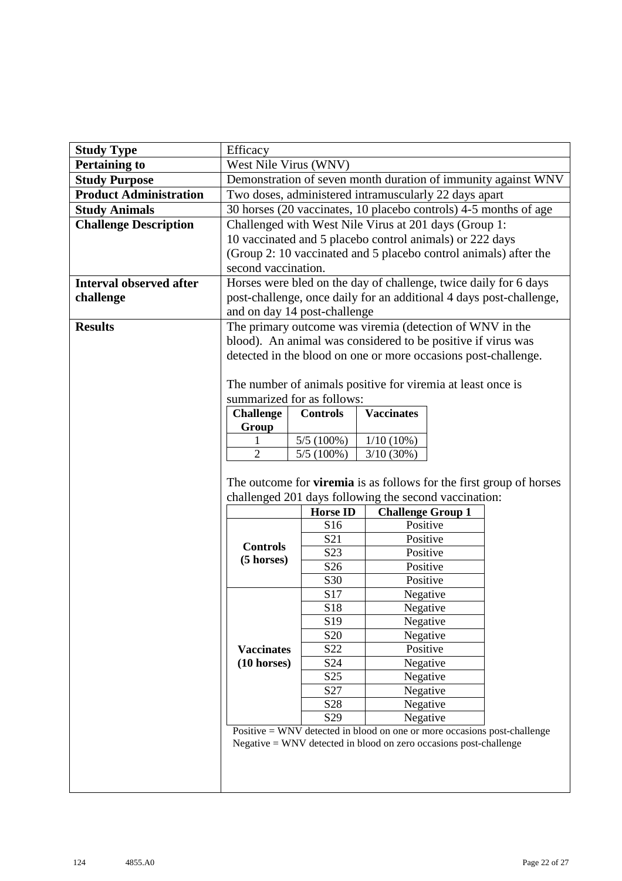|                                | Efficacy                                                                   |                                    |                                                                                        |  |                                                                     |  |  |
|--------------------------------|----------------------------------------------------------------------------|------------------------------------|----------------------------------------------------------------------------------------|--|---------------------------------------------------------------------|--|--|
| <b>Study Type</b>              |                                                                            |                                    |                                                                                        |  |                                                                     |  |  |
| <b>Pertaining to</b>           | West Nile Virus (WNV)                                                      |                                    |                                                                                        |  |                                                                     |  |  |
| <b>Study Purpose</b>           |                                                                            |                                    |                                                                                        |  | Demonstration of seven month duration of immunity against WNV       |  |  |
| <b>Product Administration</b>  |                                                                            |                                    | Two doses, administered intramuscularly 22 days apart                                  |  |                                                                     |  |  |
| <b>Study Animals</b>           |                                                                            |                                    | 30 horses (20 vaccinates, 10 placebo controls) 4-5 months of age                       |  |                                                                     |  |  |
| <b>Challenge Description</b>   |                                                                            |                                    | Challenged with West Nile Virus at 201 days (Group 1:                                  |  |                                                                     |  |  |
|                                |                                                                            |                                    | 10 vaccinated and 5 placebo control animals) or 222 days                               |  |                                                                     |  |  |
|                                |                                                                            |                                    | (Group 2: 10 vaccinated and 5 placebo control animals) after the                       |  |                                                                     |  |  |
|                                | second vaccination.                                                        |                                    |                                                                                        |  |                                                                     |  |  |
| <b>Interval observed after</b> |                                                                            |                                    | Horses were bled on the day of challenge, twice daily for 6 days                       |  |                                                                     |  |  |
| challenge                      |                                                                            |                                    |                                                                                        |  | post-challenge, once daily for an additional 4 days post-challenge, |  |  |
|                                |                                                                            | and on day 14 post-challenge       |                                                                                        |  |                                                                     |  |  |
| <b>Results</b>                 |                                                                            |                                    | The primary outcome was viremia (detection of WNV in the                               |  |                                                                     |  |  |
|                                |                                                                            |                                    | blood). An animal was considered to be positive if virus was                           |  |                                                                     |  |  |
|                                |                                                                            |                                    |                                                                                        |  |                                                                     |  |  |
|                                | detected in the blood on one or more occasions post-challenge.             |                                    |                                                                                        |  |                                                                     |  |  |
|                                | The number of animals positive for viremia at least once is                |                                    |                                                                                        |  |                                                                     |  |  |
|                                |                                                                            | summarized for as follows:         |                                                                                        |  |                                                                     |  |  |
|                                | <b>Challenge</b>                                                           | <b>Controls</b>                    | <b>Vaccinates</b>                                                                      |  |                                                                     |  |  |
|                                | Group                                                                      |                                    |                                                                                        |  |                                                                     |  |  |
|                                | 5/5(100%)<br>$1/10(10\%)$<br>1                                             |                                    |                                                                                        |  |                                                                     |  |  |
|                                | $\overline{2}$<br>$5/5(100\%)$<br>3/10(30%)                                |                                    |                                                                                        |  |                                                                     |  |  |
|                                |                                                                            |                                    |                                                                                        |  |                                                                     |  |  |
|                                | The outcome for <b>viremia</b> is as follows for the first group of horses |                                    |                                                                                        |  |                                                                     |  |  |
|                                |                                                                            |                                    |                                                                                        |  |                                                                     |  |  |
|                                |                                                                            |                                    | challenged 201 days following the second vaccination:                                  |  |                                                                     |  |  |
|                                |                                                                            | <b>Horse ID</b>                    | <b>Challenge Group 1</b>                                                               |  |                                                                     |  |  |
|                                |                                                                            | S16                                | Positive                                                                               |  |                                                                     |  |  |
|                                |                                                                            | S <sub>21</sub>                    | Positive                                                                               |  |                                                                     |  |  |
|                                | <b>Controls</b>                                                            | S23                                | Positive                                                                               |  |                                                                     |  |  |
|                                | (5 horses)                                                                 | S <sub>26</sub>                    | Positive                                                                               |  |                                                                     |  |  |
|                                |                                                                            | S30                                | Positive                                                                               |  |                                                                     |  |  |
|                                |                                                                            | S17                                | Negative                                                                               |  |                                                                     |  |  |
|                                |                                                                            | S18                                | Negative                                                                               |  |                                                                     |  |  |
|                                |                                                                            | S <sub>19</sub>                    | Negative                                                                               |  |                                                                     |  |  |
|                                |                                                                            | S <sub>20</sub>                    | Negative                                                                               |  |                                                                     |  |  |
|                                | <b>Vaccinates</b>                                                          | S22                                | Positive                                                                               |  |                                                                     |  |  |
|                                | $(10 \text{ horses})$                                                      | S24                                | Negative                                                                               |  |                                                                     |  |  |
|                                |                                                                            | S <sub>25</sub>                    | Negative                                                                               |  |                                                                     |  |  |
|                                |                                                                            | S <sub>27</sub>                    | Negative                                                                               |  |                                                                     |  |  |
|                                |                                                                            | S <sub>28</sub><br>S <sub>29</sub> | Negative                                                                               |  |                                                                     |  |  |
|                                |                                                                            |                                    | Negative<br>Positive $=$ WNV detected in blood on one or more occasions post-challenge |  |                                                                     |  |  |
|                                |                                                                            |                                    | $Negative = WNV$ detected in blood on zero occasions post-challenge                    |  |                                                                     |  |  |
|                                |                                                                            |                                    |                                                                                        |  |                                                                     |  |  |
|                                |                                                                            |                                    |                                                                                        |  |                                                                     |  |  |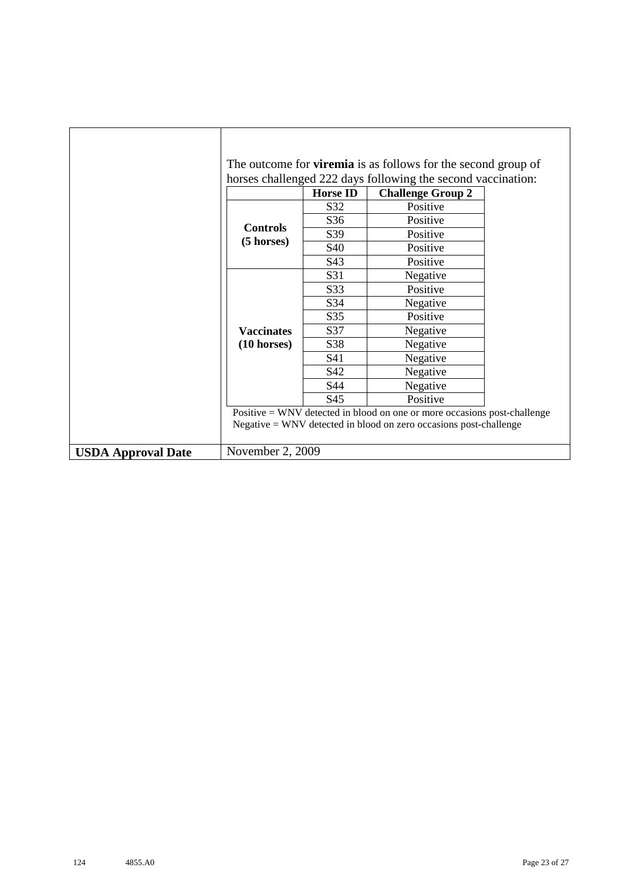|                           |                       |                 | The outcome for <b>viremia</b> is as follows for the second group of<br>horses challenged 222 days following the second vaccination: |  |
|---------------------------|-----------------------|-----------------|--------------------------------------------------------------------------------------------------------------------------------------|--|
|                           |                       | <b>Horse ID</b> | <b>Challenge Group 2</b>                                                                                                             |  |
|                           |                       | S32             | Positive                                                                                                                             |  |
|                           |                       | S36             | Positive                                                                                                                             |  |
|                           | <b>Controls</b>       | S39             | Positive                                                                                                                             |  |
|                           | $(5 \text{ horses})$  | S40             | Positive                                                                                                                             |  |
|                           |                       | S43             | Positive                                                                                                                             |  |
|                           |                       | S31             | Negative                                                                                                                             |  |
|                           |                       | S33             | Positive                                                                                                                             |  |
|                           |                       | S34             | Negative                                                                                                                             |  |
|                           |                       | S35             | Positive                                                                                                                             |  |
|                           | <b>Vaccinates</b>     | S37             | Negative                                                                                                                             |  |
|                           | $(10 \text{ horses})$ | S38             | Negative                                                                                                                             |  |
|                           |                       | S41             | Negative                                                                                                                             |  |
|                           |                       | S42             | Negative                                                                                                                             |  |
|                           |                       | S44             | Negative                                                                                                                             |  |
|                           |                       | S45             | Positive                                                                                                                             |  |
|                           |                       |                 | Positive = WNV detected in blood on one or more occasions post-challenge                                                             |  |
|                           |                       |                 | $Negative = WNV$ detected in blood on zero occasions post-challenge                                                                  |  |
| <b>USDA Approval Date</b> | November 2, 2009      |                 |                                                                                                                                      |  |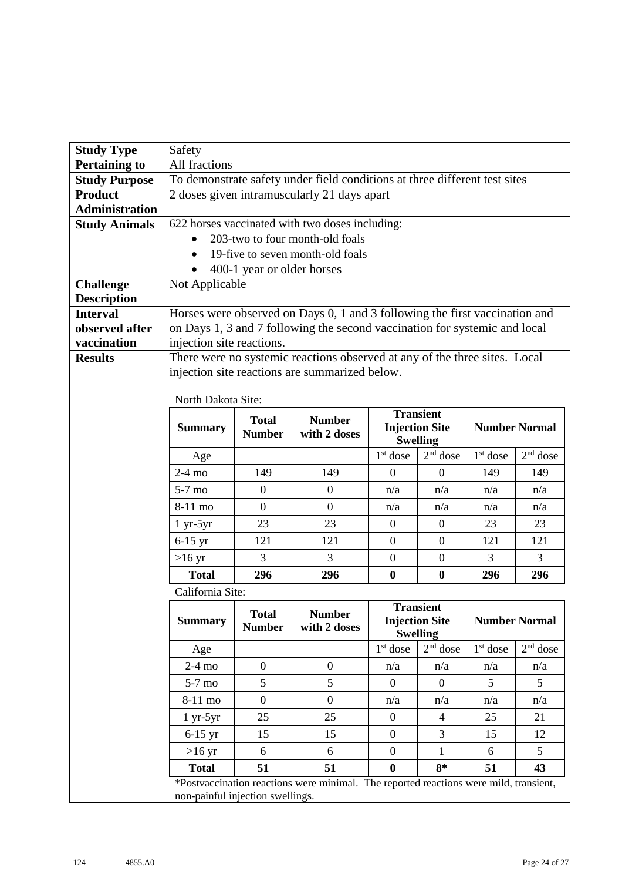| <b>Study Type</b>     | Safety                           |                            |                                                                                       |                      |                               |            |                      |
|-----------------------|----------------------------------|----------------------------|---------------------------------------------------------------------------------------|----------------------|-------------------------------|------------|----------------------|
| <b>Pertaining to</b>  | All fractions                    |                            |                                                                                       |                      |                               |            |                      |
| <b>Study Purpose</b>  |                                  |                            | To demonstrate safety under field conditions at three different test sites            |                      |                               |            |                      |
| <b>Product</b>        |                                  |                            | 2 doses given intramuscularly 21 days apart                                           |                      |                               |            |                      |
| <b>Administration</b> |                                  |                            |                                                                                       |                      |                               |            |                      |
| <b>Study Animals</b>  |                                  |                            | 622 horses vaccinated with two doses including:                                       |                      |                               |            |                      |
|                       |                                  |                            | 203-two to four month-old foals                                                       |                      |                               |            |                      |
|                       |                                  |                            | 19-five to seven month-old foals                                                      |                      |                               |            |                      |
| <b>Challenge</b>      | Not Applicable                   | 400-1 year or older horses |                                                                                       |                      |                               |            |                      |
| <b>Description</b>    |                                  |                            |                                                                                       |                      |                               |            |                      |
| <b>Interval</b>       |                                  |                            | Horses were observed on Days 0, 1 and 3 following the first vaccination and           |                      |                               |            |                      |
| observed after        |                                  |                            | on Days 1, 3 and 7 following the second vaccination for systemic and local            |                      |                               |            |                      |
| vaccination           | injection site reactions.        |                            |                                                                                       |                      |                               |            |                      |
| <b>Results</b>        |                                  |                            | There were no systemic reactions observed at any of the three sites. Local            |                      |                               |            |                      |
|                       |                                  |                            | injection site reactions are summarized below.                                        |                      |                               |            |                      |
|                       |                                  |                            |                                                                                       |                      |                               |            |                      |
|                       | North Dakota Site:               |                            |                                                                                       |                      | <b>Transient</b>              |            |                      |
|                       | <b>Summary</b>                   | <b>Total</b>               | <b>Number</b>                                                                         |                      | <b>Injection Site</b>         |            | <b>Number Normal</b> |
|                       |                                  | <b>Number</b>              | with 2 doses                                                                          |                      | <b>Swelling</b>               |            |                      |
|                       | Age                              |                            |                                                                                       | $1st$ dose           | $2nd$ dose                    | $1st$ dose | $2nd$ dose           |
|                       | $2-4$ mo                         | 149                        | 149                                                                                   | $\theta$             | $\mathbf{0}$                  | 149        | 149                  |
|                       | $5-7$ mo                         | $\boldsymbol{0}$           | $\mathbf{0}$                                                                          | n/a                  | n/a                           | n/a        | n/a                  |
|                       | 8-11 mo                          | $\overline{0}$             | $\overline{0}$                                                                        | n/a                  | n/a                           | n/a        | n/a                  |
|                       | $1 yr-5yr$                       | 23                         | 23                                                                                    | $\overline{0}$       | $\mathbf{0}$                  | 23         | 23                   |
|                       | $6-15$ yr                        | 121                        | 121                                                                                   | $\mathbf{0}$         | $\mathbf{0}$                  | 121        | 121                  |
|                       | $>16 \text{ yr}$                 | 3                          | 3                                                                                     | $\boldsymbol{0}$     | $\mathbf{0}$                  | 3          | 3                    |
|                       | <b>Total</b>                     | 296                        | 296                                                                                   | $\boldsymbol{0}$     | $\boldsymbol{0}$              | 296        | 296                  |
|                       | California Site:                 |                            |                                                                                       |                      |                               |            |                      |
|                       |                                  | <b>Total</b>               | <b>Number</b>                                                                         |                      | <b>Transient</b>              |            |                      |
|                       | <b>Summary</b>                   | <b>Number</b>              | with 2 doses                                                                          |                      | <b>Injection Site</b>         |            | <b>Number Normal</b> |
|                       | Age                              |                            |                                                                                       | 1 <sup>st</sup> dose | <b>Swelling</b><br>$2nd$ dose | $1st$ dose | $2nd$ dose           |
|                       | $2-4$ mo                         | $\overline{0}$             | $\boldsymbol{0}$                                                                      | n/a                  | n/a                           | n/a        | n/a                  |
|                       | $5-7$ mo                         | 5                          | 5                                                                                     | $\mathbf{0}$         | $\theta$                      | 5          | 5                    |
|                       | 8-11 mo                          | $\boldsymbol{0}$           | $\overline{0}$                                                                        | n/a                  | n/a                           | n/a        | n/a                  |
|                       | $1 yr-5yr$                       | 25                         | 25                                                                                    | $\overline{0}$       | $\overline{4}$                | 25         | 21                   |
|                       | $6-15$ yr                        | 15                         | 15                                                                                    | $\overline{0}$       | 3                             | 15         | 12                   |
|                       | $>16 \text{ yr}$                 | 6                          | 6                                                                                     | $\overline{0}$       | $\mathbf{1}$                  | 6          | 5                    |
|                       | <b>Total</b>                     | 51                         | 51                                                                                    | $\boldsymbol{0}$     | $8*$                          | 51         | 43                   |
|                       |                                  |                            | *Postvaccination reactions were minimal. The reported reactions were mild, transient, |                      |                               |            |                      |
|                       | non-painful injection swellings. |                            |                                                                                       |                      |                               |            |                      |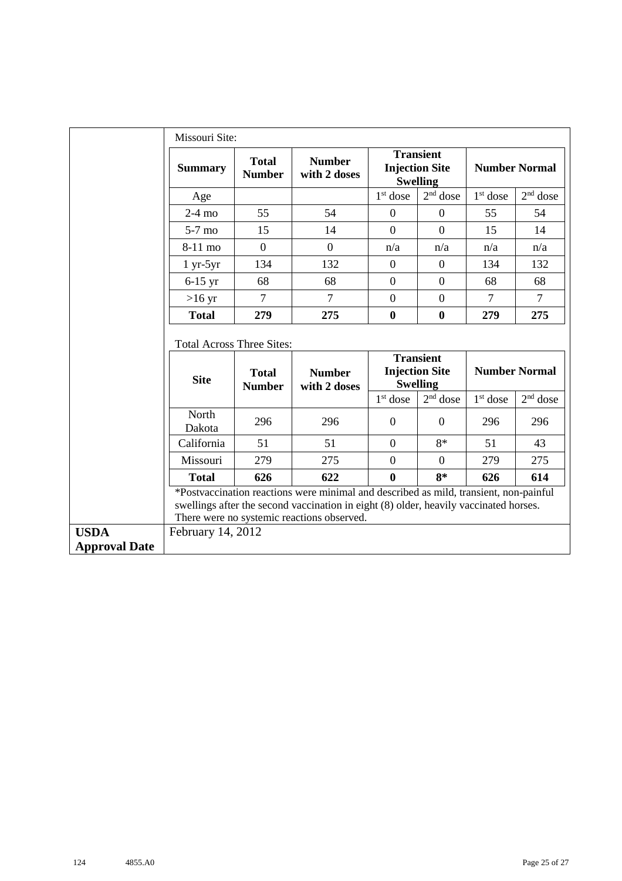|                                     | Missouri Site:                   |                               |                                                                                                                                                                                                                              |                  |                                                              |                      |                      |
|-------------------------------------|----------------------------------|-------------------------------|------------------------------------------------------------------------------------------------------------------------------------------------------------------------------------------------------------------------------|------------------|--------------------------------------------------------------|----------------------|----------------------|
|                                     | <b>Summary</b>                   | <b>Total</b><br><b>Number</b> | <b>Number</b><br>with 2 doses                                                                                                                                                                                                |                  | <b>Transient</b><br><b>Injection Site</b><br><b>Swelling</b> |                      | <b>Number Normal</b> |
|                                     | Age                              |                               |                                                                                                                                                                                                                              | $1st$ dose       | $2nd$ dose                                                   | $1st$ dose           | $2nd$ dose           |
|                                     | $2-4$ mo                         | 55                            | 54                                                                                                                                                                                                                           | $\overline{0}$   | $\Omega$                                                     | 55                   | 54                   |
|                                     | 5-7 mo                           | 15                            | 14                                                                                                                                                                                                                           | $\overline{0}$   | $\overline{0}$                                               | 15                   | 14                   |
|                                     | 8-11 mo                          | $\Omega$                      | $\overline{0}$                                                                                                                                                                                                               | n/a              | n/a                                                          | n/a                  | n/a                  |
|                                     | $1 yr-5yr$                       | 134                           | 132                                                                                                                                                                                                                          | $\boldsymbol{0}$ | $\overline{0}$                                               | 134                  | 132                  |
|                                     | $6-15$ yr                        | 68                            | 68                                                                                                                                                                                                                           | $\mathbf{0}$     | $\overline{0}$                                               | 68                   | 68                   |
|                                     | $>16$ yr                         | $\overline{7}$                | $\overline{7}$                                                                                                                                                                                                               | $\overline{0}$   | $\overline{0}$                                               | $\overline{7}$       | $\tau$               |
|                                     | <b>Total</b>                     | 279                           | 275                                                                                                                                                                                                                          | $\bf{0}$         | $\bf{0}$                                                     | 279                  | 275                  |
|                                     | <b>Total Across Three Sites:</b> |                               |                                                                                                                                                                                                                              |                  |                                                              |                      |                      |
|                                     | <b>Site</b>                      | <b>Total</b><br><b>Number</b> | <b>Number</b><br>with 2 doses                                                                                                                                                                                                |                  | <b>Transient</b><br><b>Injection Site</b><br><b>Swelling</b> |                      | <b>Number Normal</b> |
|                                     |                                  |                               |                                                                                                                                                                                                                              | $1st$ dose       | $2nd$ dose                                                   | 1 <sup>st</sup> dose | $2nd$ dose           |
|                                     | North<br>Dakota                  | 296                           | 296                                                                                                                                                                                                                          | $\mathbf{0}$     | $\theta$                                                     | 296                  | 296                  |
|                                     | California                       | 51                            | 51                                                                                                                                                                                                                           | $\overline{0}$   | $8*$                                                         | 51                   | 43                   |
|                                     | Missouri                         | 279                           | 275                                                                                                                                                                                                                          | $\overline{0}$   | $\overline{0}$                                               | 279                  | 275                  |
|                                     | <b>Total</b>                     | 626                           | 622                                                                                                                                                                                                                          | $\bf{0}$         | $8*$                                                         | 626                  | 614                  |
|                                     |                                  |                               | *Postvaccination reactions were minimal and described as mild, transient, non-painful<br>swellings after the second vaccination in eight (8) older, heavily vaccinated horses.<br>There were no systemic reactions observed. |                  |                                                              |                      |                      |
| <b>USDA</b><br><b>Approval Date</b> | February 14, 2012                |                               |                                                                                                                                                                                                                              |                  |                                                              |                      |                      |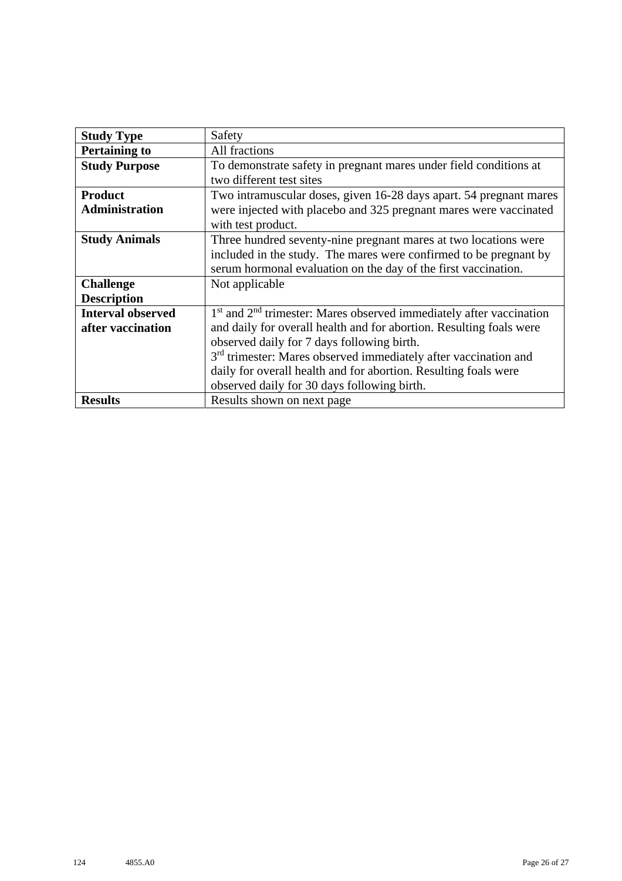| <b>Study Type</b>        | Safety                                                                      |  |  |  |  |  |
|--------------------------|-----------------------------------------------------------------------------|--|--|--|--|--|
| <b>Pertaining to</b>     | All fractions                                                               |  |  |  |  |  |
| <b>Study Purpose</b>     | To demonstrate safety in pregnant mares under field conditions at           |  |  |  |  |  |
|                          | two different test sites                                                    |  |  |  |  |  |
| <b>Product</b>           | Two intramuscular doses, given 16-28 days apart. 54 pregnant mares          |  |  |  |  |  |
| <b>Administration</b>    | were injected with placebo and 325 pregnant mares were vaccinated           |  |  |  |  |  |
|                          | with test product.                                                          |  |  |  |  |  |
| <b>Study Animals</b>     | Three hundred seventy-nine pregnant mares at two locations were             |  |  |  |  |  |
|                          | included in the study. The mares were confirmed to be pregnant by           |  |  |  |  |  |
|                          | serum hormonal evaluation on the day of the first vaccination.              |  |  |  |  |  |
| <b>Challenge</b>         | Not applicable                                                              |  |  |  |  |  |
| <b>Description</b>       |                                                                             |  |  |  |  |  |
| <b>Interval observed</b> | $1st$ and $2nd$ trimester: Mares observed immediately after vaccination     |  |  |  |  |  |
| after vaccination        | and daily for overall health and for abortion. Resulting foals were         |  |  |  |  |  |
|                          | observed daily for 7 days following birth.                                  |  |  |  |  |  |
|                          | 3 <sup>rd</sup> trimester: Mares observed immediately after vaccination and |  |  |  |  |  |
|                          | daily for overall health and for abortion. Resulting foals were             |  |  |  |  |  |
|                          | observed daily for 30 days following birth.                                 |  |  |  |  |  |
| <b>Results</b>           | Results shown on next page                                                  |  |  |  |  |  |